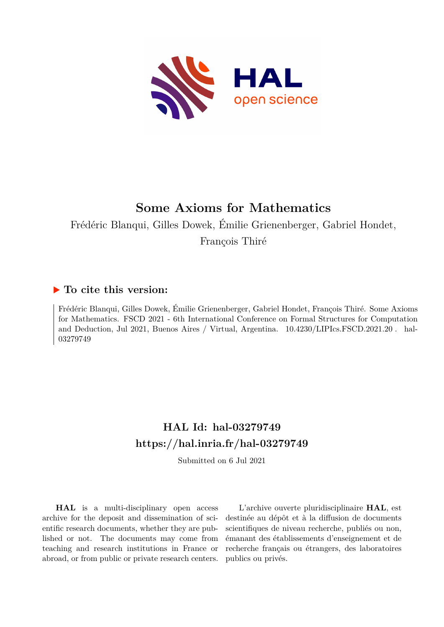

# **Some Axioms for Mathematics**

Frédéric Blanqui, Gilles Dowek, Émilie Grienenberger, Gabriel Hondet,

François Thiré

## **To cite this version:**

Frédéric Blanqui, Gilles Dowek, Émilie Grienenberger, Gabriel Hondet, François Thiré. Some Axioms for Mathematics. FSCD 2021 - 6th International Conference on Formal Structures for Computation and Deduction, Jul 2021, Buenos Aires / Virtual, Argentina.  $10.4230/LIP$ Ics.FSCD.2021.20. hal-03279749ff

## **HAL Id: hal-03279749 <https://hal.inria.fr/hal-03279749>**

Submitted on 6 Jul 2021

**HAL** is a multi-disciplinary open access archive for the deposit and dissemination of scientific research documents, whether they are published or not. The documents may come from teaching and research institutions in France or abroad, or from public or private research centers.

L'archive ouverte pluridisciplinaire **HAL**, est destinée au dépôt et à la diffusion de documents scientifiques de niveau recherche, publiés ou non, émanant des établissements d'enseignement et de recherche français ou étrangers, des laboratoires publics ou privés.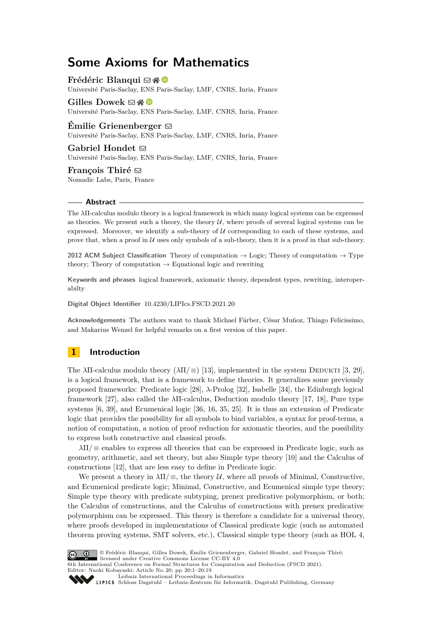## **Some Axioms for Mathematics**

**Frédéric Blanqui** ⊠ n Université Paris-Saclay, ENS Paris-Saclay, LMF, CNRS, Inria, France

**Gilles Dowek** ⊠ ֎ Université Paris-Saclay, ENS Paris-Saclay, LMF, CNRS, Inria, France

**Emilie Grienenberger**  $\infty$ Université Paris-Saclay, ENS Paris-Saclay, LMF, CNRS, Inria, France

**Gabriel Hondet** ⊠ Université Paris-Saclay, ENS Paris-Saclay, LMF, CNRS, Inria, France

**François Thiré** ⊠ Nomadic Labs, Paris, France

#### **Abstract**

The *λ*Π-calculus modulo theory is a logical framework in which many logical systems can be expressed as theories. We present such a theory, the theory  $U$ , where proofs of several logical systems can be expressed. Moreover, we identify a sub-theory of  $U$  corresponding to each of these systems, and prove that, when a proof in  $U$  uses only symbols of a sub-theory, then it is a proof in that sub-theory.

**2012 ACM Subject Classification** Theory of computation → Logic; Theory of computation → Type theory; Theory of computation  $\rightarrow$  Equational logic and rewriting

**Keywords and phrases** logical framework, axiomatic theory, dependent types, rewriting, interoperabilty

**Digital Object Identifier** [10.4230/LIPIcs.FSCD.2021.20](https://doi.org/10.4230/LIPIcs.FSCD.2021.20)

**Acknowledgements** The authors want to thank Michael Färber, César Muñoz, Thiago Felicissimo, and Makarius Wenzel for helpful remarks on a first version of this paper.

## **1 Introduction**

The *λ*Π-calculus modulo theory  $(\lambda \Pi / \equiv)$  [13], implemented in the system DEDUKTI [3, 29], is a logical framework, that is a framework to define theories. It generalizes some previously proposed frameworks: Predicate logic [28], *λ*-Prolog [32], Isabelle [34], the Edinburgh logical framework [27], also called the *λ*Π-calculus, Deduction modulo theory [17, 18], Pure type systems [6, 39], and Ecumenical logic [36, 16, 35, 25]. It is thus an extension of Predicate logic that provides the possibility for all symbols to bind variables, a syntax for proof-terms, a notion of computation, a notion of proof reduction for axiomatic theories, and the possibility to express both constructive and classical proofs.

*λ*Π*/*≡ enables to express all theories that can be expressed in Predicate logic, such as geometry, arithmetic, and set theory, but also Simple type theory [10] and the Calculus of constructions [12], that are less easy to define in Predicate logic.

We present a theory in  $\lambda \Pi / \equiv$ , the theory U, where all proofs of Minimal, Constructive, and Ecumenical predicate logic; Minimal, Constructive, and Ecumenical simple type theory; Simple type theory with predicate subtyping, prenex predicative polymorphism, or both; the Calculus of constructions, and the Calculus of constructions with prenex predicative polymorphism can be expressed. This theory is therefore a candidate for a universal theory, where proofs developed in implementations of Classical predicate logic (such as automated theorem proving systems, SMT solvers, etc.), Classical simple type theory (such as HOL 4,



© Frédéric Blanqui, Gilles Dowek, Émilie Grienenberger, Gabriel Hondet, and François Thiré; licensed under Creative Commons License CC-BY 4.0 6th International Conference on Formal Structures for Computation and Deduction (FSCD 2021).

Editor: Naoki Kobayashi; Article No. 20; pp. 20:1–20:19

[Leibniz International Proceedings in Informatics](https://www.dagstuhl.de/lipics/) [Schloss Dagstuhl – Leibniz-Zentrum für Informatik, Dagstuhl Publishing, Germany](https://www.dagstuhl.de)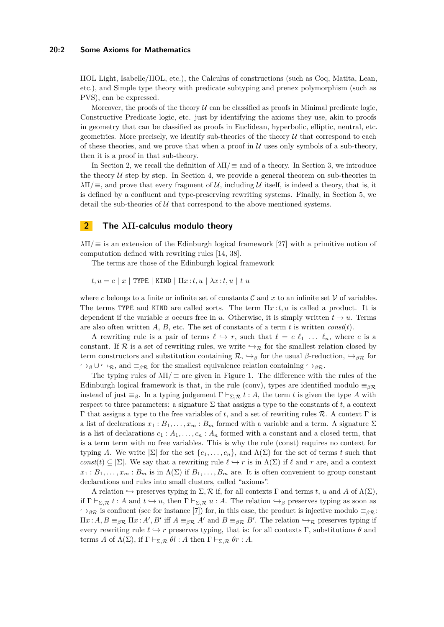#### **20:2 Some Axioms for Mathematics**

HOL Light, Isabelle/HOL, etc.), the Calculus of constructions (such as Coq, Matita, Lean, etc.), and Simple type theory with predicate subtyping and prenex polymorphism (such as PVS), can be expressed.

Moreover, the proofs of the theory  $U$  can be classified as proofs in Minimal predicate logic, Constructive Predicate logic, etc. just by identifying the axioms they use, akin to proofs in geometry that can be classified as proofs in Euclidean, hyperbolic, elliptic, neutral, etc. geometries. More precisely, we identify sub-theories of the theory  $\mathcal U$  that correspond to each of these theories, and we prove that when a proof in  $U$  uses only symbols of a sub-theory, then it is a proof in that sub-theory.

In Section 2, we recall the definition of *λ*Π*/*≡ and of a theory. In Section 3, we introduce the theory  $U$  step by step. In Section 4, we provide a general theorem on sub-theories in  $\lambda \Pi / \equiv$ , and prove that every fragment of U, including U itself, is indeed a theory, that is, it is defined by a confluent and type-preserving rewriting systems. Finally, in Section 5, we detail the sub-theories of  $U$  that correspond to the above mentioned systems.

## **2 The** *λ***Π-calculus modulo theory**

*λ*Π*/*≡ is an extension of the Edinburgh logical framework [27] with a primitive notion of computation defined with rewriting rules [14, 38].

The terms are those of the Edinburgh logical framework

 $t, u = c | x |$  TYPE | KIND  $| \Pi x : t, u | \lambda x : t, u | t u$ 

where c belongs to a finite or infinite set of constants  $\mathcal C$  and x to an infinite set  $\mathcal V$  of variables. The terms TYPE and KIND are called sorts. The term Π*x* :*t, u* is called a product. It is dependent if the variable *x* occurs free in *u*. Otherwise, it is simply written  $t \to u$ . Terms are also often written *A*, *B*, etc. The set of constants of a term *t* is written *const*(*t*).

A rewriting rule is a pair of terms  $\ell \hookrightarrow r$ , such that  $\ell = c \ell_1 \ldots \ell_n$ , where *c* is a constant. If R is a set of rewriting rules, we write  $\hookrightarrow_{\mathcal{R}}$  for the smallest relation closed by term constructors and substitution containing  $\mathcal{R}, \hookrightarrow_{\beta}$  for the usual  $\beta$ -reduction,  $\hookrightarrow_{\beta}$  for  $\rightarrow$ <sub>*β*</sub> ∪  $\rightarrow$ <sub>*R*</sub>, and  $\equiv$ <sub>*β*R</sub> for the smallest equivalence relation containing  $\rightarrow$ <sub>*β*R</sub>.

The typing rules of  $\lambda \Pi / \equiv$  are given in Figure 1. The difference with the rules of the Edinburgh logical framework is that, in the rule (conv), types are identified modulo  $\equiv_{\beta \mathcal{R}}$ instead of just  $\equiv_{\beta}$ . In a typing judgement  $\Gamma \vdash_{\Sigma, \mathcal{R}} t : A$ , the term *t* is given the type *A* with respect to three parameters: a signature  $\Sigma$  that assigns a type to the constants of *t*, a context Γ that assigns a type to the free variables of *t*, and a set of rewriting rules R. A context Γ is a list of declarations  $x_1 : B_1, \ldots, x_m : B_m$  formed with a variable and a term. A signature  $\Sigma$ is a list of declarations  $c_1 : A_1, \ldots, c_n : A_n$  formed with a constant and a closed term, that is a term term with no free variables. This is why the rule (const) requires no context for typing *A*. We write  $|\Sigma|$  for the set  $\{c_1, \ldots, c_n\}$ , and  $\Lambda(\Sigma)$  for the set of terms *t* such that *const*(*t*)  $\subseteq$  |Σ|. We say that a rewriting rule  $\ell \hookrightarrow r$  is in  $\Lambda(\Sigma)$  if  $\ell$  and *r* are, and a context  $x_1 : B_1, \ldots, x_m : B_m$  is in  $\Lambda(\Sigma)$  if  $B_1, \ldots, B_m$  are. It is often convenient to group constant declarations and rules into small clusters, called "axioms".

A relation  $\hookrightarrow$  preserves typing in  $\Sigma$ , R if, for all contexts Γ and terms *t*, *u* and *A* of  $\Lambda(\Sigma)$ , if  $\Gamma \vdash_{\Sigma,\mathcal{R}} t : A$  and  $t \hookrightarrow u$ , then  $\Gamma \vdash_{\Sigma,\mathcal{R}} u : A$ . The relation  $\hookrightarrow_{\beta}$  preserves typing as soon as  $\rightarrow$ <sub>*βR*</sub> is confluent (see for instance [7]) for, in this case, the product is injective modulo  $\equiv$ <sub>*βR*</sub>:  $\Pi x:A, B \equiv_{\beta \mathcal{R}} \Pi x:A', B'$  iff  $A \equiv_{\beta \mathcal{R}} A'$  and  $B \equiv_{\beta \mathcal{R}} B'$ . The relation  $\hookrightarrow_{\mathcal{R}}$  preserves typing if every rewriting rule  $\ell \hookrightarrow r$  preserves typing, that is: for all contexts  $\Gamma$ , substitutions  $\theta$  and terms *A* of  $\Lambda(\Sigma)$ , if  $\Gamma \vdash_{\Sigma, \mathcal{R}} \theta l : A$  then  $\Gamma \vdash_{\Sigma, \mathcal{R}} \theta r : A$ .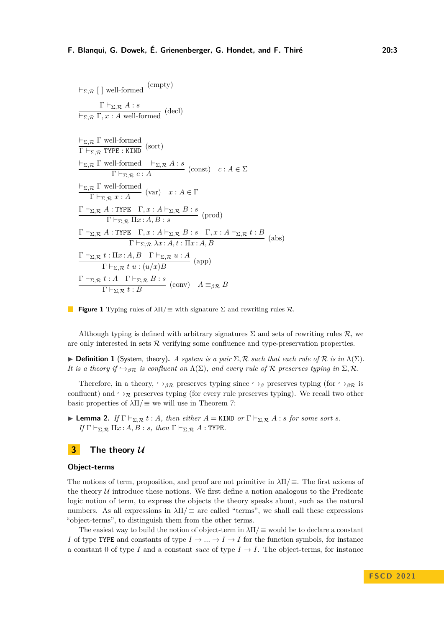| $\overline{\vdash_{\Sigma,\mathcal{R}}[ ]$ well-formed (empty)                                                                                                                                                                                        |
|-------------------------------------------------------------------------------------------------------------------------------------------------------------------------------------------------------------------------------------------------------|
| $\Gamma\vdash_{\Sigma,\mathcal{R}} A:s$<br>$\frac{\Box}{\Box_{\mathcal{R}} \Gamma, x : A \text{ well-formed}}$ (decl)                                                                                                                                 |
| $\frac{\vdash_{\Sigma,\mathcal{R}} \Gamma \text{ well-formed}}{\Gamma \vdash_{\Sigma,\mathcal{R}} \text{TYPE}: \text{KIND}}$ (sort)                                                                                                                   |
| $\frac{\vdash_{\Sigma,\mathcal{R}} \Gamma \text{ well-formed } \vdash_{\Sigma,\mathcal{R}} A:s}{\Gamma \vdash_{\Sigma,\mathcal{R}} c:A} (\text{const}) \quad c:A \in \Sigma$                                                                          |
| $\frac{\vdash_{\Sigma,\mathcal{R}} \Gamma \text{ well-formed}}{\Gamma \vdash_{\Sigma,\mathcal{R}} x:A}$ (var) $x:A \in \Gamma$                                                                                                                        |
| $\frac{\Gamma\vdash_{\Sigma,\mathcal{R}} A:\text{TYPE}\quad \Gamma,x:A\vdash_{\Sigma,\mathcal{R}} B:s}{\Gamma\vdash_{\Sigma,\mathcal{R}} \Pi x:A,B:s} \text{ (prod)}$                                                                                 |
| $\Gamma \vdash_{\Sigma,\mathcal{R}} A : \text{TYPE} \quad \Gamma, x : A \vdash_{\Sigma,\mathcal{R}} B : s \quad \Gamma, x : A \vdash_{\Sigma,\mathcal{R}} t : B \quad \text{(abs)}$<br>$\Gamma \vdash_{\Sigma,\mathcal{R}} \lambda x:A, t:\Pi x:A, B$ |
| $\frac{\Gamma\vdash_{\Sigma,\mathcal{R}} t:\Pi x:A,B\quad \Gamma\vdash_{\Sigma,\mathcal{R}} u:A}{\Gamma\vdash_{\Sigma,\mathcal{R}} t u:(u/x)B} \text{ (app)}$                                                                                         |
| $\frac{\Gamma\vdash_{\Sigma,\mathcal{R}} t:A\quad \Gamma\vdash_{\Sigma,\mathcal{R}} B:s}{\Gamma\vdash_{\Sigma,\mathcal{R}} t:B} (\text{conv})\quad A\equiv_{\beta\mathcal{R}} B$                                                                      |

**Figure 1** Typing rules of *λ*Π*/*≡ with signature Σ and rewriting rules R.

Although typing is defined with arbitrary signatures  $\Sigma$  and sets of rewriting rules  $\mathcal{R}$ , we are only interested in sets R verifying some confluence and type-preservation properties.

 $\triangleright$  **Definition 1** (System, theory). *A system is a pair*  $\Sigma$ ,  $\mathcal{R}$  *such that each rule of*  $\mathcal{R}$  *is in*  $\Lambda(\Sigma)$ *. It is a theory if*  $\rightarrow$ <sub>*βR</sub> is confluent on*  $\Lambda(\Sigma)$ *, and every rule of* R *preserves typing in*  $\Sigma$ *,* R.</sub>

Therefore, in a theory,  $\rightarrow_{\beta \mathcal{R}}$  preserves typing since  $\rightarrow_{\beta}$  preserves typing (for  $\rightarrow_{\beta \mathcal{R}}$  is confluent) and  $\rightarrow_{\mathcal{R}}$  preserves typing (for every rule preserves typing). We recall two other basic properties of  $\lambda \Pi / \equiv$  we will use in Theorem 7:

▶ **Lemma 2.** *If*  $\Gamma \vdash_{\Sigma, \mathcal{R}} t : A$ *, then either*  $A =$  KIND *or*  $\Gamma \vdash_{\Sigma, \mathcal{R}} A : s$  *for some sort s. If*  $\Gamma \vdash_{\Sigma, \mathcal{R}} \Pi x : A, B : s$ *, then*  $\Gamma \vdash_{\Sigma, \mathcal{R}} A :$  TYPE*.* 

## **3 The theory U**

#### **Object-terms**

The notions of term, proposition, and proof are not primitive in *λ*Π*/*≡. The first axioms of the theory  $U$  introduce these notions. We first define a notion analogous to the Predicate logic notion of term, to express the objects the theory speaks about, such as the natural numbers. As all expressions in  $\lambda \Pi / \equiv$  are called "terms", we shall call these expressions "object-terms", to distinguish them from the other terms.

The easiest way to build the notion of object-term in *λ*Π*/*≡ would be to declare a constant *I* of type TYPE and constants of type  $I \to \ldots \to I \to I$  for the function symbols, for instance a constant 0 of type *I* and a constant *succ* of type  $I \rightarrow I$ . The object-terms, for instance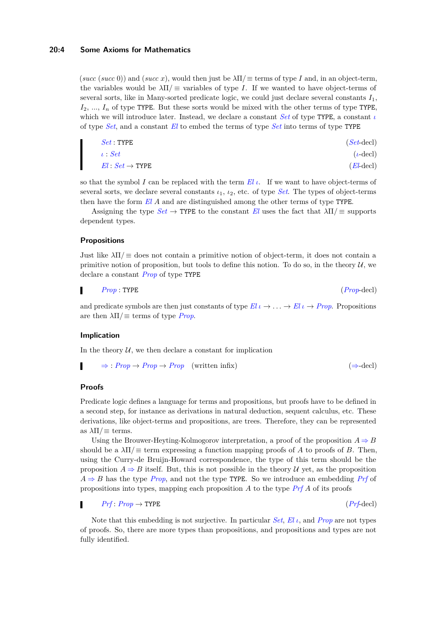(*succ* (*succ* 0)) and (*succ x*), would then just be  $\lambda \Pi / \equiv$  terms of type *I* and, in an object-term, the variables would be  $\lambda \Pi / \equiv$  variables of type *I*. If we wanted to have object-terms of several sorts, like in Many-sorted predicate logic, we could just declare several constants  $I_1$ , *I*2, ..., *I<sup>n</sup>* of type TYPE. But these sorts would be mixed with the other terms of type TYPE, which we will introduce later. Instead, we declare a constant *Set* of type TYPE, a constant *ι* of type *Set*, and a constant *El* to embed the terms of type *Set* into terms of type TYPE

| $Set$ : TYPE                      | $(Set\text{-}\text{decl})$ |
|-----------------------------------|----------------------------|
| $\iota: Set$                      | $(\iota$ -decl)            |
| $El: Set \rightarrow \text{TYPE}$ | $(El-\text{decl})$         |

so that the symbol *I* can be replaced with the term *El ι*. If we want to have object-terms of several sorts, we declare several constants *ι*1, *ι*2, etc. of type *Set*. The types of object-terms then have the form *El A* and are distinguished among the other terms of type TYPE.

Assigning the type  $Set \rightarrow$  TYPE to the constant *El* uses the fact that  $\lambda \Pi / \equiv$  supports dependent types.

## **Propositions**

Just like  $\lambda \Pi / \equiv$  does not contain a primitive notion of object-term, it does not contain a primitive notion of proposition, but tools to define this notion. To do so, in the theory  $U$ , we declare a constant *Prop* of type TYPE

$$
Prop: \text{TYPE} \tag{Prop-decl}
$$

and predicate symbols are then just constants of type  $El \iota \rightarrow \iota \iota \rightarrow Fl \iota \rightarrow Prop.$  Propositions are then  $\lambda \Pi / \equiv$  terms of type *Prop*.

#### **Implication**

In the theory  $U$ , we then declare a constant for implication

$$
\Rightarrow : Prop \to Prop \to Prop \quad \text{(written infix)} \tag{3-decl}
$$

## **Proofs**

Predicate logic defines a language for terms and propositions, but proofs have to be defined in a second step, for instance as derivations in natural deduction, sequent calculus, etc. These derivations, like object-terms and propositions, are trees. Therefore, they can be represented as  $\lambda \Pi / \equiv$  terms.

Using the Brouwer-Heyting-Kolmogorov interpretation, a proof of the proposition  $A \Rightarrow B$ should be a  $\lambda \Pi / \equiv$  term expressing a function mapping proofs of *A* to proofs of *B*. Then, using the Curry-de Bruijn-Howard correspondence, the type of this term should be the proposition  $A \Rightarrow B$  itself. But, this is not possible in the theory U yet, as the proposition  $A \Rightarrow B$  has the type *Prop*, and not the type TYPE. So we introduce an embedding *Prf* of propositions into types, mapping each proposition *A* to the type *Prf A* of its proofs

#### $Prf: Prop \rightarrow \text{TYPE}$  (*Prf*-decl) г

Note that this embedding is not surjective. In particular *Set*, *El ι*, and *Prop* are not types of proofs. So, there are more types than propositions, and propositions and types are not fully identified.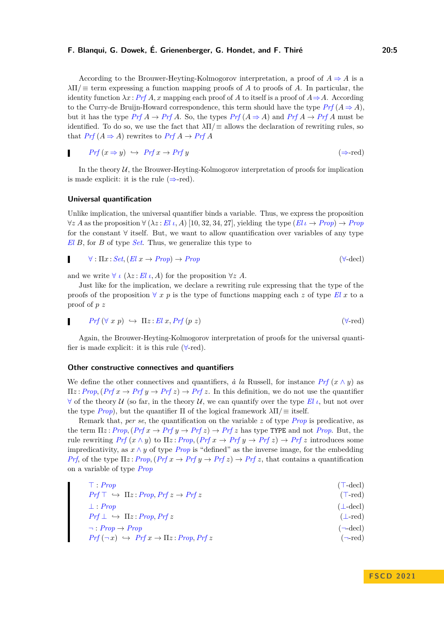According to the Brouwer-Heyting-Kolmogorov interpretation, a proof of  $A \Rightarrow A$  is a *λ*Π*/*≡ term expressing a function mapping proofs of *A* to proofs of *A*. In particular, the identity function  $\lambda x$ : *Prf A*, *x* mapping each proof of *A* to itself is a proof of  $A \Rightarrow A$ . According to the Curry-de Bruijn-Howard correspondence, this term should have the type  $Prf(A \Rightarrow A)$ , but it has the type  $Prf A \rightarrow Prf A$ . So, the types  $Prf (A \Rightarrow A)$  and  $Prf A \rightarrow Prf A$  must be identified. To do so, we use the fact that  $\lambda \Pi / \equiv$  allows the declaration of rewriting rules, so that  $Prf(A \Rightarrow A)$  rewrites to  $Prf(A \rightarrow Prf(A))$ 

$$
Prf(x \Rightarrow y) \iff Prf(x \to Prf(y) \tag{\Rightarrow}\text{red})
$$

In the theory  $U$ , the Brouwer-Heyting-Kolmogorov interpretation of proofs for implication is made explicit: it is the rule  $(\Rightarrow$ -red).

## **Universal quantification**

Unlike implication, the universal quantifier binds a variable. Thus, we express the proposition  $\forall z A$  as the proposition  $\forall (\lambda z : El \iota, A)$  [10, 32, 34, 27], yielding the type  $(El \iota \rightarrow Prop) \rightarrow Prop$ for the constant ∀ itself. But, we want to allow quantification over variables of any type *El B*, for *B* of type *Set*. Thus, we generalize this type to

$$
\forall : \Pi x : Set, (El\ x \to Prop) \to Prop \tag{ \forall-\text{dec}} \tag{ \forall-\text{dec}} \tag{ \forall-\text{dec}} \land \forall \exists x \to Prop \land \forall \exists x \to Prop \land \forall \exists x \to Prop \land \forall \exists x \to Prop \land \forall \exists x \to Prop \land \forall \exists x \to Prop \land \forall \exists x \to Prop \land \forall \exists x \to Prop \land \forall \exists x \to Prop \land \forall \exists x \to Prop \land \forall \exists x \to Prop \land \forall \exists x \to Prop \land \forall \exists x \to Prop \land \forall \exists x \to Prop \land \forall \exists x \to Prop \land \forall \exists x \to Prop \land \forall \exists x \to Prop \land \forall \exists x \to Prop \land \forall \exists x \to Prop \land \forall \exists x \to Prop \land \forall \exists x \to Prop \land \forall \exists x \to Prop \land \forall \exists x \to Prop \land \forall \exists x \to Prop \land \forall \exists x \to Prop \land \forall \exists x \to Prop \land \forall \exists x \to Prop \land \forall \exists x \to Prop \land \forall \exists x \to Prop \land \forall \exists x \to Prop \land \forall \exists x \to Prop \land \forall \exists x \to Prop \land \forall \exists x \to Prop \land \forall \exists x \to Prop \land \forall \exists x \to Prop \land \forall \exists x \to Prop \land \forall \exists x \to Prop \land \forall \exists x \to Prop \land \forall \exists x \to Prop \land \forall \exists x \to Prop \land \exists x \to Top \land \exists x \to Prop \land \forall \exists x \to Prop \land \forall \exists x \to Prop \land \forall \exists x \to Prop \land \forall \exists x \to Prop \land \exists x \to Prop \land \forall \exists x \to Prop \land \exists x \to Prop \land \exists x \to Prop \land \exists x \to Prop \land \forall \exists x \to Prop \land \exists x \to Prop \land \exists x \to Prop \land \exists x \to Prop \land \exists x \to Prop \land \exists x \to Prop \land \forall \exists x \to Prop \land \exists x \to Prop \land \exists x \to Prop \land \exists x \to Prop \land \exists x \to Prop \land \exists x \to Prop \land \exists x \to Prop \land \exists x \to Prop \land \exists x \to Prop \land \exists x \to Prop \land \exists x \to Prop \land \exists x \to Prop \land \exists x \to Prop \land \exists x \to Prop \land \exists x \to Prop \land \exists x \to Comp \land \exists x \to Comp \land \exists x \to Comp \land \exists x \to Comp \land \exists x \to Comp
$$

and we write  $\forall$  *ι* ( $\lambda z$  : *El ι*, *A*) for the proposition  $\forall z$  *A*.

Just like for the implication, we declare a rewriting rule expressing that the type of the proofs of the proposition  $\forall x p$  is the type of functions mapping each z of type El x to a proof of *p z*

$$
Prf\left(\forall x\ p\right)\ \hookrightarrow\ \Pi z: El\ x, Prf\ (p\ z)
$$
\n
$$
\qquad \qquad (\forall\text{-red})
$$

Again, the Brouwer-Heyting-Kolmogorov interpretation of proofs for the universal quantifier is made explicit: it is this rule  $(\forall$ -red).

#### **Other constructive connectives and quantifiers**

We define the other connectives and quantifiers,  $\dot{a}$  *la* Russell, for instance *Prf*  $(x \wedge y)$  as  $\Pi z$ : *Prop*,  $(Prf x \rightarrow Prf y \rightarrow Prf z) \rightarrow Prf z$ . In this definition, we do not use the quantifier  $\forall$  of the theory U (so far, in the theory U, we can quantify over the type El *ι*, but not over the type *Prop*), but the quantifier  $\Pi$  of the logical framework  $\lambda \Pi / \equiv$  itself.

Remark that, *per se*, the quantification on the variable *z* of type *Prop* is predicative, as the term  $\Pi z$ : *Prop,*( $Prf x \rightarrow Prf y \rightarrow Prf z$ )  $\rightarrow Prf z$  has type TYPE and not *Prop*. But, the rule rewriting  $Prf(x \wedge y)$  to  $\Pi z$ :  $Prop$ ,  $(Prf x \rightarrow Prf y \rightarrow Prf z) \rightarrow Prf z$  introduces some impredicativity, as  $x \wedge y$  of type *Prop* is "defined" as the inverse image, for the embedding *Prf*, of the type  $\Pi z$ : *Prop,*(*Prf*  $x \to Prf y \to Prf z$ )  $\to Prf z$ , that contains a quantification on a variable of type *Prop*

| $\top : Prop$                                                       | $(T-dec)$            |
|---------------------------------------------------------------------|----------------------|
| $Prf \top \hookrightarrow \Pi z : Prop, Prf z \rightarrow Prf z$    | $(T-red)$            |
| $\perp$ Prop                                                        | $(\perp$ -decl)      |
| $Prf \perp \rightarrow \Pi z : Prop, Prf z$                         | $(\perp$ -red)       |
| $\neg : Prop \rightarrow Prop$                                      | $(\neg$ -decl)       |
| $Prf(\neg x) \leftrightarrow Prf x \rightarrow \Pi z : Prop, Prf z$ | $(\neg \text{-red})$ |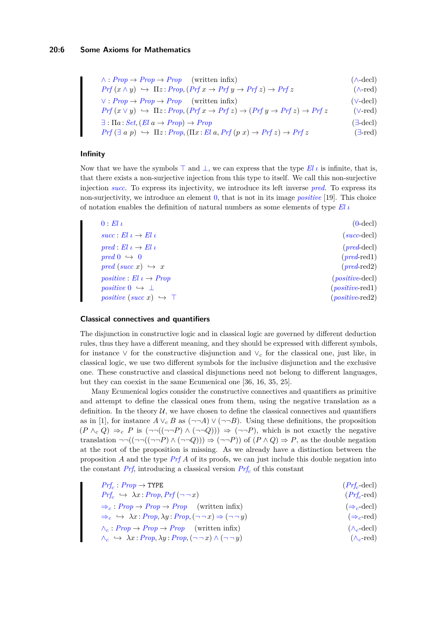## **20:6 Some Axioms for Mathematics**

∧ : *Prop* → *Prop* → *Prop* (written infix) (∧-decl)  $Prf(x \land y) \leftrightarrow \Pi z$ :  $Prop$ *,*( $Prf x \rightarrow Prf y \rightarrow Prf z$ )  $\rightarrow Prf z$  ( $\land$ -red)

∨ : *Prop* → *Prop* → *Prop* (written infix) (∨-decl)

$$
Prf(x \lor y) \leftrightarrow \Pi z : Prop, (Prf x \rightarrow Prf z) \rightarrow (Prf y \rightarrow Prf z) \rightarrow Prf z \qquad (\lor \text{-red})
$$

 $\exists$ :  $\Pi$ *a*: *Set*, (*El*  $a \rightarrow Prop$ )  $\rightarrow Prop$  ( $\exists$ -decl)

$$
Prf(\exists a p) \leftrightarrow \Pi z : Prop, (\Pi x : El a, Prf(p x) \rightarrow Prf z) \rightarrow Prf z \tag{3-red}
$$

## **Infinity**

Now that we have the symbols ⊤ and ⊥, we can express that the type *El ι* is infinite, that is, that there exists a non-surjective injection from this type to itself. We call this non-surjective injection *succ*. To express its injectivity, we introduce its left inverse *pred*. To express its non-surjectivity, we introduce an element 0, that is not in its image *positive* [19]. This choice of notation enables the definition of natural numbers as some elements of type *El ι*

| $(0$ -decl $)$                    | $0:El \iota$                          |
|-----------------------------------|---------------------------------------|
| $(succ\text{-}\text{decl})$       | $succ: El \iota \rightarrow El \iota$ |
| $(pred-\text{decl})$              | $pred: El \iota \rightarrow El \iota$ |
| $(pred$ -red <sub>1</sub> )       | $pred\ 0 \rightarrow 0$               |
| $(pred$ -red <sub>2</sub> )       | $pred (succ x) \rightarrow x$         |
| $(positive$ -decl)                | positive : El $\iota \to Prop$        |
| $(positive \text{-} \text{red}1)$ | positive $0 \leftrightarrow \perp$    |
| $(positive$ red $2)$              | positive (succ x) $\hookrightarrow$ T |

#### **Classical connectives and quantifiers**

The disjunction in constructive logic and in classical logic are governed by different deduction rules, thus they have a different meaning, and they should be expressed with different symbols, for instance ∨ for the constructive disjunction and ∨*<sup>c</sup>* for the classical one, just like, in classical logic, we use two different symbols for the inclusive disjunction and the exclusive one. These constructive and classical disjunctions need not belong to different languages, but they can coexist in the same Ecumenical one [36, 16, 35, 25].

Many Ecumenical logics consider the constructive connectives and quantifiers as primitive and attempt to define the classical ones from them, using the negative translation as a definition. In the theory  $U$ , we have chosen to define the classical connectives and quantifiers as in [1], for instance  $A \vee_{c} B$  as  $(\neg\neg A) \vee (\neg\neg B)$ . Using these definitions, the proposition  $(P \wedge_c Q) \Rightarrow_c P$  is  $(\neg\neg((\neg\neg P) \wedge (\neg\neg Q))) \Rightarrow (\neg\neg P)$ , which is not exactly the negative translation  $\neg\neg((\neg\neg((\neg\neg P) \land (\neg\neg Q))) \Rightarrow (\neg\neg P)$  of  $(P \land Q) \Rightarrow P$ , as the double negation at the root of the proposition is missing. As we already have a distinction between the proposition *A* and the type *Prf A* of its proofs, we can just include this double negation into the constant *Prf*, introducing a classical version *Prf<sup>c</sup>* of this constant

| $Prf_c: Prop \rightarrow \text{TYPE}$                                                                           | $(Prf_c$ -decl                 |
|-----------------------------------------------------------------------------------------------------------------|--------------------------------|
| $Prf_c \hookrightarrow \lambda x : Prop, Prf (\neg \neg x)$                                                     | $(Prf_c$ -red)                 |
| $\Rightarrow_c : Prop \rightarrow Prop \rightarrow Prop$ (written infix)                                        | $(\Rightarrow_c \text{-decl})$ |
| $\Rightarrow_c \leftrightarrow \lambda x$ : Prop, $\lambda y$ : Prop, $(\neg \neg x) \Rightarrow (\neg \neg y)$ | $(\Rightarrow_c$ -red)         |
| $\wedge_c : Prop \rightarrow Prop \rightarrow Prop$ (written infix)                                             | $(\wedge_c \text{-decl})$      |
| $\wedge_c \hookrightarrow \lambda x : Prop, \lambda y : Prop, (\neg \neg x) \wedge (\neg \neg y)$               | $(\wedge_c \text{-red})$       |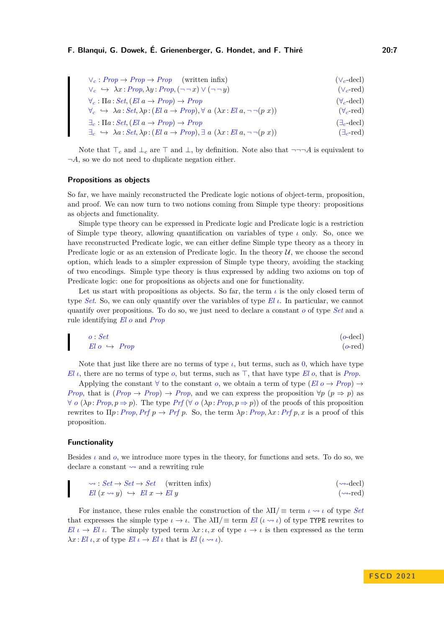∨*<sup>c</sup>* : *Prop* → *Prop* → *Prop* (written infix) (∨*c*-decl)  $\vee_c \leftrightarrow \lambda x : Prop, \lambda y : Prop, (\neg \neg x) \vee (\neg \neg y)$  ( $\vee_c$ -red)  $\forall_c : \Pi a : Set, (El \ a \rightarrow Prop) \rightarrow Prop$  ( $\forall_c$ -decl)  $\forall_c \leftrightarrow \lambda a : Set, \lambda p : (El \ a \rightarrow Prop), \forall \ a \ (\lambda x : El \ a, \neg \neg (p \ x))$  ( $\forall_c$ -red)  $\exists_c : \Pi a : Set, (El \ a \rightarrow Prop) \rightarrow Prop$  ( $\exists_c \text{-decl})$ )  $\Rightarrow$   $\exists a : Set, (El \ a \rightarrow Prop) \rightarrow Prop$ <br>  $\Rightarrow$   $\lambda a : Set, \lambda p : (El \ a \rightarrow Prop), \exists \ a \ (\lambda x : El \ a, \neg \neg (p \ x))$  ( $\exists_c \text{-red}$ )

Note that ⊤*<sup>c</sup>* and ⊥*<sup>c</sup>* are ⊤ and ⊥, by definition. Note also that ¬¬¬*A* is equivalent to  $\neg A$ , so we do not need to duplicate negation either.

#### **Propositions as objects**

So far, we have mainly reconstructed the Predicate logic notions of object-term, proposition, and proof. We can now turn to two notions coming from Simple type theory: propositions as objects and functionality.

Simple type theory can be expressed in Predicate logic and Predicate logic is a restriction of Simple type theory, allowing quantification on variables of type *ι* only. So, once we have reconstructed Predicate logic, we can either define Simple type theory as a theory in Predicate logic or as an extension of Predicate logic. In the theory  $\mathcal{U}$ , we choose the second option, which leads to a simpler expression of Simple type theory, avoiding the stacking of two encodings. Simple type theory is thus expressed by adding two axioms on top of Predicate logic: one for propositions as objects and one for functionality.

Let us start with propositions as objects. So far, the term  $\iota$  is the only closed term of type *Set*. So, we can only quantify over the variables of type *El ι*. In particular, we cannot quantify over propositions. To do so, we just need to declare a constant *o* of type *Set* and a rule identifying *El o* and *Prop*

$$
o: Set
$$
  
  $El o \hookrightarrow Prop$  (o-decl)

Note that just like there are no terms of type  $\iota$ , but terms, such as 0, which have type *El ι*, there are no terms of type *o*, but terms, such as ⊤, that have type *El o*, that is *Prop*.

Applying the constant  $\forall$  to the constant *o*, we obtain a term of type (*El*  $o \rightarrow Prop$ )  $\rightarrow$ *Prop*, that is  $(Prop \rightarrow Prop) \rightarrow Prop$ , and we can express the proposition  $\forall p \ (p \Rightarrow p)$  as  $\forall o \ (\lambda p : Prop, p \Rightarrow p)$ . The type  $Prf (\forall o \ (\lambda p : Prop, p \Rightarrow p))$  of the proofs of this proposition rewrites to  $\Pi p$ : *Prop*, *Prf*  $p \rightarrow Prf p$ . So, the term  $\lambda p$ : *Prop*,  $\lambda x$ : *Prf*  $p$ ,  $x$  is a proof of this proposition.

#### **Functionality**

Besides  $\iota$  and  $o$ , we introduce more types in the theory, for functions and sets. To do so, we declare a constant  $\rightsquigarrow$  and a rewriting rule

$$
\begin{aligned}\n\rightsquigarrow : Set &\rightarrow Set \quad \text{(written infix)}\\
El (x \rightsquigarrow y) &\hookrightarrow El x \rightarrow El y\n\end{aligned} \tag{*(\rightarrow-decl)}\n\tag{*(\rightarrow-decl)}\n\tag{*(\rightarrow-red)}\n\tag{*(\rightarrow-red)}\n\tag{*(\rightarrow-red)}\n\tag{*(\rightarrow-red)}\n\tag{*(\rightarrow-red)}\n\tag{*(\rightarrow-red)}\n\tag{*(\rightarrow-red)}\n\tag{*(\rightarrow-red)}\n\tag{*(\rightarrow-red)}\n\tag{*(\rightarrow-red)}\n\tag{*(\rightarrow-red)}\n\tag{*(\rightarrow-red)}\n\tag{*(\rightarrow-red)}\n\tag{*(\rightarrow-red)}\n\tag{*(\rightarrow-red)}\n\tag{*(\rightarrow-red)}\n\tag{*(\rightarrow-red)}\n\tag{*(\rightarrow-red)}\n\tag{*(\rightarrow-red)}\n\tag{*(\rightarrow-red)}\n\tag{*(\rightarrow-red)}\n\tag{*(\rightarrow-red)}\n\tag{*(\rightarrow-red)}\n\tag{*(\rightarrow-red)}\n\tag{*(\rightarrow-red)}\n\tag{*(\rightarrow-red)}\n\tag{*(\rightarrow-red)}\n\tag{*(\rightarrow-red)}\n\tag{*(\rightarrow-red)}\n\tag{*(\rightarrow-red)}\n\tag{*(\rightarrow-red)}\n\tag{*(\rightarrow-red)}\n\tag{*(\rightarrow-red)}\n\tag{*(\rightarrow-red)}\n\tag{*(\rightarrow-red)}\n\tag{*(\rightarrow-red)}\n\tag{*(\rightarrow-red)}\n\tag{*(\rightarrow-red)}\n\tag{*(\rightarrow-red)}\n\tag{*(\rightarrow-red)}\n\tag{*(\rightarrow-red)}\n\tag{*(\rightarrow-red)}\n\tag{*(\rightarrow-red)}\n\tag{*(\rightarrow-red)}\n\tag{*(\rightarrow-red)}\n\tag{*(\rightarrow-red)}\n\tag{*(\rightarrow-red)}\n\tag{*(\rightarrow-red)}\n\tag{*(\rightarrow-red)}\n\tag{*(\rightarrow-red)}\n\tag{*(\rightarrow-red)}\n\tag{*(\rightarrow-red)}\n\tag{*(\rightarrow-red)}\n\tag{*(\rightarrow-red)}\n\tag{*(\rightarrow-red)}\n\tag{*(\rightarrow-red)}\n\tag{*(\rightarrow-red)}\n\tag{*(\rightarrow-red)}\n\tag{*(\rightarrow-red)}\n\tag{*(\rightarrow-red)}\n\tag{*(\rightarrow-red)}\n\tag{*(\rightarrow-red)}
$$

For instance, these rules enable the construction of the  $\lambda \Pi / \equiv$  term  $\iota \leadsto \iota$  of type *Set* that expresses the simple type  $\iota \to \iota$ . The  $\lambda \Pi / \equiv \text{term } El$  ( $\iota \leadsto \iota$ ) of type TYPE rewrites to *El*  $\iota \to El$  *ι*. The simply typed term  $\lambda x : \iota, x$  of type  $\iota \to \iota$  is then expressed as the term  $\lambda x: E_l \iota, x$  of type  $E_l \iota \to E_l \iota$  that is  $E_l \iota \rightsquigarrow \iota$ ).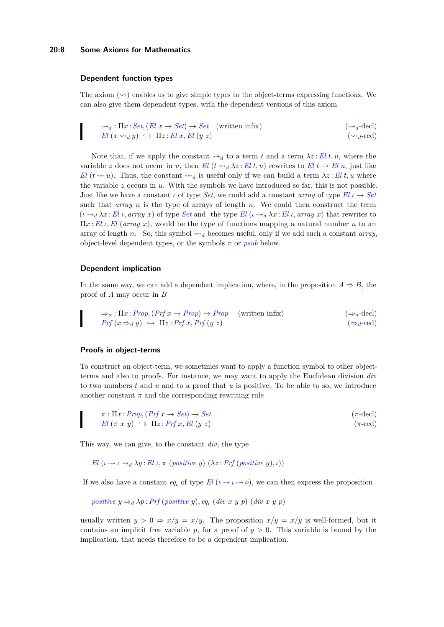### **20:8 Some Axioms for Mathematics**

### **Dependent function types**

The axiom  $(\sim)$  enables us to give simple types to the object-terms expressing functions. We can also give them dependent types, with the dependent versions of this axiom

$$
\sim_d: \Pi x: Set, (El x \to Set) \to Set \quad \text{(written infix)} \tag{(\sim_d-decl)} \\
 El (x \sim_d y) \hookrightarrow \Pi z: El x, El (y z) \tag{(\sim_d-decl)} \\
 (\sim_d \text{-red})
$$

Note that, if we apply the constant  $\leadsto_d$  to a term t and a term  $\lambda z$ : El t, u, where the variable *z* does not occur in *u*, then *El*  $(t \leadsto_d \lambda z : E l t, u)$  rewrites to  $E l t \rightarrow E l u$ , just like *El* ( $t \sim u$ ). Thus, the constant  $\sim_d$  is useful only if we can build a term  $\lambda z : E l t, u$  where the variable *z* occurs in *u*. With the symbols we have introduced so far, this is not possible. Just like we have a constant *ι* of type *Set*, we could add a constant *array* of type  $E_l \iota \to Set$ such that *array n* is the type of arrays of length *n*. We could then construct the term  $(\iota \leadsto_{d} \lambda x : El \iota, \text{array } x)$  of type *Set* and the type *El*  $(\iota \leadsto_{d} \lambda x : El \iota, \text{array } x)$  that rewrites to Π*x* :*El ι,El* (*array x*), would be the type of functions mapping a natural number *n* to an array of length *n*. So, this symbol  $\rightsquigarrow_d$  becomes useful, only if we add such a constant *array*, object-level dependent types, or the symbols  $\pi$  or  $psub$  below.

#### **Dependent implication**

In the same way, we can add a dependent implication, where, in the proposition  $A \Rightarrow B$ , the proof of *A* may occur in *B*

$$
\Rightarrow_{d} : \Pi x : Prop, (Prf x \to Prop) \to Prop \quad \text{(written infix)} \quad (\Rightarrow_{d} \text{-decl})
$$
\n
$$
Prf (x \Rightarrow_{d} y) \leftrightarrow \Pi z : Prf x, Prf (y z) \quad (\Rightarrow_{d} \text{-red})
$$

#### **Proofs in object-terms**

To construct an object-term, we sometimes want to apply a function symbol to other objectterms and also to proofs. For instance, we may want to apply the Euclidean division *div* to two numbers *t* and *u* and to a proof that *u* is positive. To be able to so, we introduce another constant  $\pi$  and the corresponding rewriting rule

$$
\pi: \Pi x: Prop, (Prf x \to Set) \to Set
$$
\n
$$
El (\pi x y) \hookrightarrow \Pi z: Prf x, El (y z) \qquad (\pi-\text{ded})
$$
\n
$$
\pi: \pi y \to \pi x \to \text{Id}
$$

This way, we can give, to the constant *div*, the type

*El*  $(\iota \rightsquigarrow \iota \rightsquigarrow_d \lambda y$  : *El*  $\iota, \pi$  (*positive y*)  $(\lambda z \cdot Prf$  (*positive y*),*ι*))

If we also have a constant *eq<sub><i>i*</sub> of type *El* ( $\iota \rightsquigarrow \iota \rightsquigarrow o$ ), we can then express the proposition

positive 
$$
y \Rightarrow_d \lambda p
$$
: Prf (positive y), eq. (div x y p) (div x y p)

usually written  $y > 0 \Rightarrow x/y = x/y$ . The proposition  $x/y = x/y$  is well-formed, but it contains an implicit free variable  $p$ , for a proof of  $y > 0$ . This variable is bound by the implication, that needs therefore to be a dependent implication.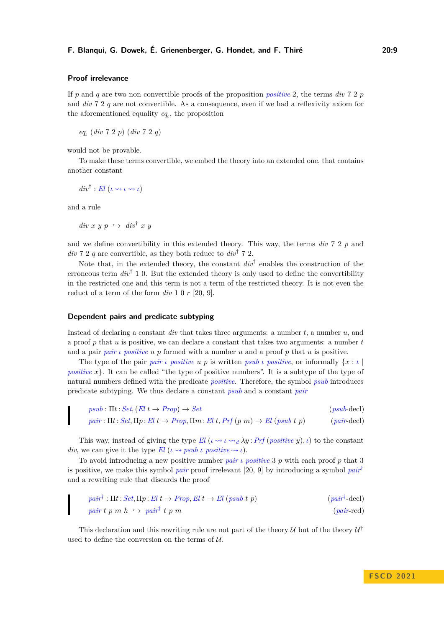#### **Proof irrelevance**

If  $p$  and  $q$  are two non convertible proofs of the proposition *positive* 2, the terms *div* 7 2  $p$ and *div* 7 2 *q* are not convertible. As a consequence, even if we had a reflexivity axiom for the aforementioned equality *eq<sup>ι</sup>* , the proposition

*eqι* (*div* 7 2 *p*) (*div* 7 2 *q*)

would not be provable.

To make these terms convertible, we embed the theory into an extended one, that contains another constant

 $div^{\dagger}$  : *El*  $(\iota \leadsto \iota \leadsto \iota)$ 

and a rule

 $div x y p \leftrightarrow div^{\dagger} x y$ 

and we define convertibility in this extended theory. This way, the terms *div* 7 2 *p* and *div* 7 2 *q* are convertible, as they both reduce to  $div^{\dagger}$  7 2.

Note that, in the extended theory, the constant  $div^{\dagger}$  enables the construction of the erroneous term *div*† 1 0. But the extended theory is only used to define the convertibility in the restricted one and this term is not a term of the restricted theory. It is not even the reduct of a term of the form *div* 1 0 *r* [20, 9].

#### **Dependent pairs and predicate subtyping**

Instead of declaring a constant *div* that takes three arguments: a number *t*, a number *u*, and a proof *p* that *u* is positive, we can declare a constant that takes two arguments: a number *t* and a pair *pair ι positive u p* formed with a number *u* and a proof *p* that *u* is positive.

The type of the pair  $pair \text{ } i$  *positive*  $u \text{ } p$  is written  $psub \text{ } i$  *positive*, or informally  $\{x : i \}$ *positive*  $x$ }. It can be called "the type of positive numbers". It is a subtype of the type of natural numbers defined with the predicate *positive*. Therefore, the symbol *psub* introduces predicate subtyping. We thus declare a constant *psub* and a constant *pair*

$$
psub : \Pi t : Set, (El \ t \to Prop) \to Set \qquad (psub-decl)
$$
  

$$
pair : \Pi t : Set, \Pi p : El \ t \to Prop, \Pi m : El \ t, Prf (p \ m) \to El \ (psub \ t \ p) \qquad (pair-decl)
$$

This way, instead of giving the type *El*  $(\iota \leadsto \iota \leadsto_d \lambda y : Prf$  (*positive y*),  $\iota$ ) to the constant *div*, we can give it the type  $El (\iota \leadsto \textit{psub} \iota \textit{positive} \leadsto \iota).$ 

To avoid introducing a new positive number *pair ι positive* 3 *p* with each proof *p* that 3 is positive, we make this symbol *pair* proof irrelevant [20, 9] by introducing a symbol *pair*† and a rewriting rule that discards the proof

$$
pair^{\dagger} : \Pi t : Set, \Pi p : El \ t \to Prop, El \ t \to El \ (psub \ t \ p) \tag{pair} \t + pair \ t \ p \ m \ h \ \hookrightarrow pair^{\dagger} \ t \ p \ m \tag{pair-red}
$$

This declaration and this rewriting rule are not part of the theory  $\mathcal U$  but of the theory  $\mathcal U^{\dagger}$ used to define the conversion on the terms of  $U$ .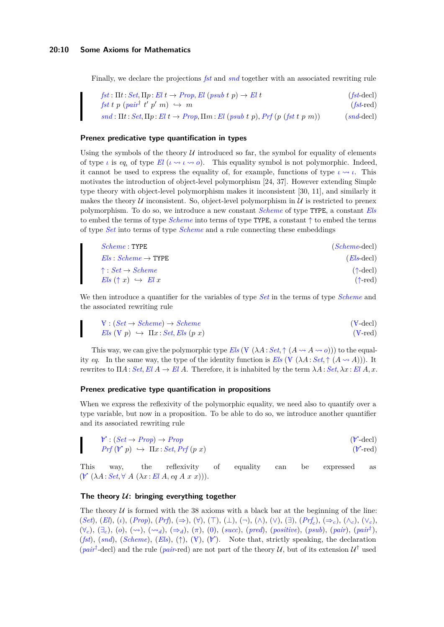#### **20:10 Some Axioms for Mathematics**

Finally, we declare the projections *fst* and *snd* together with an associated rewriting rule

$$
fst: \Pi t: Set, \Pi p: El \ t \to Prop, El \ (psub \ t \ p) \to El \ t \tag{fst-decl}
$$
\n
$$
fst \ t \ p \ (pair† \ t' \ p' \ m) \ \hookrightarrow \ m \tag{fst-decl}
$$
\n
$$
snd: \Pi t: Set, \Pi p: El \ t \to Prop, \Pi m: El \ (psub \ t \ p), Prf \ (p \ (fst \ t \ p \ m)) \tag{snd-decl}
$$

#### **Prenex predicative type quantification in types**

Using the symbols of the theory  $U$  introduced so far, the symbol for equality of elements of type *ι* is *eq<sub>i</sub>* of type  $El(\iota \rightsquigarrow \iota \rightsquigarrow o)$ . This equality symbol is not polymorphic. Indeed, it cannot be used to express the equality of, for example, functions of type  $\iota \leadsto \iota$ . This motivates the introduction of object-level polymorphism [24, 37]. However extending Simple type theory with object-level polymorphism makes it inconsistent [30, 11], and similarly it makes the theory  $U$  inconsistent. So, object-level polymorphism in  $U$  is restricted to prenex polymorphism. To do so, we introduce a new constant *Scheme* of type TYPE, a constant *Els* to embed the terms of type *Scheme* into terms of type TYPE, a constant ↑ to embed the terms of type *Set* into terms of type *Scheme* and a rule connecting these embeddings

| $Scheme: \text{TYPE}$                    | $(Scheme-dec)$             |
|------------------------------------------|----------------------------|
| $Els: Scheme \rightarrow \text{TYPE}$    | $(Els\text{-}\text{decl})$ |
| $\uparrow : Set \rightarrow Scheme$      | $(\uparrow$ -decl)         |
| $Els$ $(\uparrow x) \leftrightarrow Elx$ | $(\uparrow$ -red)          |

We then introduce a quantifier for the variables of type *Set* in the terms of type *Scheme* and the associated rewriting rule

$$
V : (Set \to Scheme) \to Scheme
$$
  
\n
$$
Els (V p) \hookrightarrow \Pi x : Set, Els (p x)
$$
  
\n
$$
(V-\text{ded})
$$
  
\n
$$
(V-\text{ded})
$$
  
\n
$$
(V-\text{ded})
$$

This way, we can give the polymorphic type  $Els \left(V \left(\lambda A : Set, \uparrow (A \rightsquigarrow A \rightsquigarrow o)\right)\right)$  to the equality *eq*. In the same way, the type of the identity function is *Els* ( $\nabla (\lambda A : Set, \uparrow (A \rightsquigarrow A)))$ . It rewrites to  $\Pi A: Set, El A \rightarrow El A$ . Therefore, it is inhabited by the term  $\lambda A: Set, \lambda x: El A, x$ .

#### **Prenex predicative type quantification in propositions**

When we express the reflexivity of the polymorphic equality, we need also to quantify over a type variable, but now in a proposition. To be able to do so, we introduce another quantifier and its associated rewriting rule

$$
\mathcal{V}: (Set \to Prop) \to Prop
$$
  
\n
$$
Prf(\mathcal{V} p) \hookrightarrow \Pi x: Set, Prf(p \ x)
$$
  
\n
$$
(V-\text{ded})
$$
  
\n
$$
(V-\text{ded})
$$

This way, the reflexivity of equality can be expressed as  $(\mathcal{V}(\lambda A : Set \forall A (\lambda x : El A, eq A x x))).$ 

### The theory  $U$ : bringing everything together

The theory  $U$  is formed with the 38 axioms with a black bar at the beginning of the line: (*Set*), (*El*), (*ι*), (*Prop*), (*Prf*), (⇒), (∀), (⊤), (⊥), (¬), (∧), (∨), (∃), (*Prf<sup>c</sup>* ), (⇒*c*), (∧*c*), (∨*c*), (∀*c*), (∃*c*), (*o*), (⇝), (⇝*d*), (⇒*d*), (*π*), (0), (*succ*), (*pred*), (*positive*), (*psub*), (*pair*), (*pair*† ),  $(fst)$ ,  $(snd)$ ,  $(Scheme)$ ,  $(Els)$ ,  $(\uparrow)$ ,  $(\vee)$ ,  $(\uparrow)$ . Note that, strictly speaking, the declaration (*pair*<sup>†</sup>-decl) and the rule (*pair*-red) are not part of the theory U, but of its extension  $U^{\dagger}$  used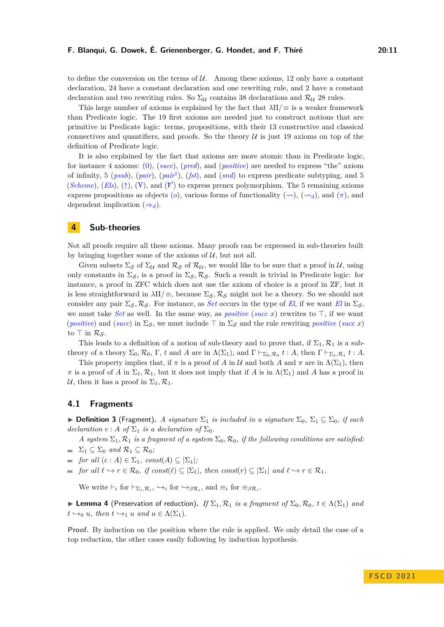to define the conversion on the terms of  $\mathcal U$ . Among these axioms, 12 only have a constant declaration, 24 have a constant declaration and one rewriting rule, and 2 have a constant declaration and two rewriting rules. So  $\Sigma_{\mathcal{U}}$  contains 38 declarations and  $\mathcal{R}_{\mathcal{U}}$  28 rules.

This large number of axioms is explained by the fact that *λ*Π*/*≡ is a weaker framework than Predicate logic. The 19 first axioms are needed just to construct notions that are primitive in Predicate logic: terms, propositions, with their 13 constructive and classical connectives and quantifiers, and proofs. So the theory  $U$  is just 19 axioms on top of the definition of Predicate logic.

It is also explained by the fact that axioms are more atomic than in Predicate logic, for instance 4 axioms: (0), (*succ*), (*pred*), and (*positive*) are needed to express "the" axiom of infinity, 5 (*psub*), (*pair*), (*pair*† ), (*fst*), and (*snd*) to express predicate subtyping, and 5 (*Scheme*), (*Els*), (†), (V), and ( $\mathcal{V}$ ) to express prenex polymorphism. The 5 remaining axioms express propositions as objects (*o*), various forms of functionality ( $\rightsquigarrow$ ), ( $\rightsquigarrow$ *d*), and ( $\pi$ ), and dependent implication  $(\Rightarrow_d)$ .

## **4 Sub-theories**

Not all proofs require all these axioms. Many proofs can be expressed in sub-theories built by bringing together some of the axioms of  $U$ , but not all.

Given subsets  $\Sigma_{\mathcal{S}}$  of  $\Sigma_{\mathcal{U}}$  and  $\mathcal{R}_{\mathcal{S}}$  of  $\mathcal{R}_{\mathcal{U}}$ , we would like to be sure that a proof in  $\mathcal{U}$ , using only constants in  $\Sigma_{\mathcal{S}}$ , is a proof in  $\Sigma_{\mathcal{S}}$ ,  $\mathcal{R}_{\mathcal{S}}$ . Such a result is trivial in Predicate logic: for instance, a proof in ZFC which does not use the axiom of choice is a proof in ZF, but it is less straightforward in  $\lambda \Pi/\equiv$ , because  $\Sigma_S$ ,  $\mathcal{R}_S$  might not be a theory. So we should not consider any pair  $\Sigma_{\mathcal{S}}, \mathcal{R}_{\mathcal{S}}$ . For instance, as *Set* occurs in the type of *El*, if we want *El* in  $\Sigma_{\mathcal{S}}$ , we must take *Set* as well. In the same way, as *positive* (*succ x*) rewrites to ⊤, if we want (*positive*) and (*succ*) in  $\Sigma$ <sub>S</sub>, we must include  $\top$  in  $\Sigma$ <sub>S</sub> and the rule rewriting *positive* (*succ x*) to  $\top$  in  $\mathcal{R}_{\mathcal{S}}$ .

This leads to a definition of a notion of sub-theory and to prove that, if  $\Sigma_1, \mathcal{R}_1$  is a subtheory of a theory  $\Sigma_0$ ,  $\mathcal{R}_0$ ,  $\Gamma$ , *t* and *A* are in  $\Lambda(\Sigma_1)$ , and  $\Gamma \vdash_{\Sigma_0,\mathcal{R}_0} t : A$ , then  $\Gamma \vdash_{\Sigma_1,\mathcal{R}_1} t : A$ .

This property implies that, if  $\pi$  is a proof of *A* in U and both *A* and  $\pi$  are in  $\Lambda(\Sigma_1)$ , then  $\pi$  is a proof of *A* in  $\Sigma_1$ ,  $\mathcal{R}_1$ , but it does not imply that if *A* is in  $\Lambda(\Sigma_1)$  and *A* has a proof in U, then it has a proof in  $\Sigma_1, \mathcal{R}_1$ .

## **4.1 Fragments**

**► Definition 3** (Fragment). A signature  $\Sigma_1$  is included in a signature  $\Sigma_0$ ,  $\Sigma_1 \subseteq \Sigma_0$ , if each *declaration*  $c: A$  *of*  $\Sigma_1$  *is a declaration of*  $\Sigma_0$ *.* 

*A system*  $\Sigma_1$ ,  $\mathcal{R}_1$  *is a fragment of a system*  $\Sigma_0$ ,  $\mathcal{R}_0$ *, if the following conditions are satisfied:* 

$$
\quad \blacksquare \quad \Sigma_1 \subseteq \Sigma_0 \ \text{and} \ \mathcal{R}_1 \subseteq \mathcal{R}_0;
$$

 $\blacksquare$  *for all*  $(c : A) \in \Sigma_1$ *, const* $(A) \subseteq |\Sigma_1|$ *;* 

 $f$  *for all*  $\ell \hookrightarrow r \in \mathcal{R}_0$ *, if const*( $\ell$ )  $\subseteq$   $|\Sigma_1|$ *, then const*( $r$ )  $\subseteq$   $|\Sigma_1|$  *and*  $\ell \hookrightarrow r \in \mathcal{R}_1$ *.* 

We write  $\vdash_i$  for  $\vdash_{\Sigma_i,\mathcal{R}_i}, \hookrightarrow_i$  for  $\hookrightarrow_{\beta\mathcal{R}_i}$ , and  $\equiv_i$  for  $\equiv_{\beta\mathcal{R}_i}$ .

▶ **Lemma 4** (Preservation of reduction). *If*  $\Sigma_1$ ,  $\mathcal{R}_1$  *is a fragment of*  $\Sigma_0$ ,  $\mathcal{R}_0$ ,  $t \in \Lambda(\Sigma_1)$  *and*  $t \hookrightarrow_0 u$ *, then*  $t \hookrightarrow_1 u$  *and*  $u \in \Lambda(\Sigma_1)$ *.* 

**Proof.** By induction on the position where the rule is applied. We only detail the case of a top reduction, the other cases easily following by induction hypothesis.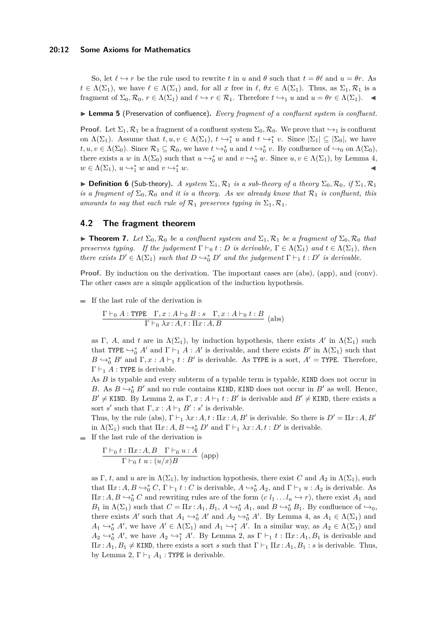#### **20:12 Some Axioms for Mathematics**

So, let  $\ell \hookrightarrow r$  be the rule used to rewrite *t* in *u* and  $\theta$  such that  $t = \theta \ell$  and  $u = \theta r$ . As  $t \in \Lambda(\Sigma_1)$ , we have  $\ell \in \Lambda(\Sigma_1)$  and, for all *x* free in  $\ell, \theta x \in \Lambda(\Sigma_1)$ . Thus, as  $\Sigma_1, \mathcal{R}_1$  is a fragment of  $\Sigma_0$ ,  $\mathcal{R}_0$ ,  $r \in \Lambda(\Sigma_1)$  and  $\ell \hookrightarrow r \in \mathcal{R}_1$ . Therefore  $t \hookrightarrow_1 u$  and  $u = \theta r \in \Lambda(\Sigma_1)$ .

▶ **Lemma 5** (Preservation of confluence)**.** *Every fragment of a confluent system is confluent.*

**Proof.** Let  $\Sigma_1$ ,  $\mathcal{R}_1$  be a fragment of a confluent system  $\Sigma_0$ ,  $\mathcal{R}_0$ . We prove that  $\hookrightarrow_1$  is confluent on  $\Lambda(\Sigma_1)$ . Assume that  $t, u, v \in \Lambda(\Sigma_1)$ ,  $t \hookrightarrow_1^* u$  and  $t \hookrightarrow_1^* v$ . Since  $|\Sigma_1| \subseteq |\Sigma_0|$ , we have  $t, u, v \in \Lambda(\Sigma_0)$ . Since  $\mathcal{R}_1 \subseteq \mathcal{R}_0$ , we have  $t \hookrightarrow_0^* u$  and  $t \hookrightarrow_0^* v$ . By confluence of  $\hookrightarrow_0$  on  $\Lambda(\Sigma_0)$ , there exists a *w* in  $\Lambda(\Sigma_0)$  such that  $u \hookrightarrow_0^* w$  and  $v \hookrightarrow_0^* w$ . Since  $u, v \in \Lambda(\Sigma_1)$ , by Lemma 4,  $w \in \Lambda(\Sigma_1)$ ,  $u \hookrightarrow_1^* w$  and  $v \hookrightarrow_1^*$  $\frac{1}{1} w$ .

 $\triangleright$  **Definition 6** (Sub-theory). A system  $\Sigma_1$ ,  $\mathcal{R}_1$  is a sub-theory of a theory  $\Sigma_0$ ,  $\mathcal{R}_0$ , if  $\Sigma_1$ ,  $\mathcal{R}_1$ *is a fragment of*  $\Sigma_0$ ,  $\mathcal{R}_0$  *and it is a theory. As we already know that*  $\mathcal{R}_1$  *is confluent, this amounts to say that each rule of*  $\mathcal{R}_1$  *preserves typing in*  $\Sigma_1, \mathcal{R}_1$ *.* 

## **4.2 The fragment theorem**

 $\triangleright$  **Theorem 7.** Let  $\Sigma_0$ ,  $\mathcal{R}_0$  *be a confluent system and*  $\Sigma_1$ ,  $\mathcal{R}_1$  *be a fragment of*  $\Sigma_0$ ,  $\mathcal{R}_0$  *that preserves typing. If the judgement*  $\Gamma \vdash_0 t : D$  *is derivable,*  $\Gamma \in \Lambda(\Sigma_1)$  *and*  $t \in \Lambda(\Sigma_1)$ *, then there exists*  $D' \in \Lambda(\Sigma_1)$  *such that*  $D \hookrightarrow_0^* D'$  *and the judgement*  $\Gamma \vdash_1 t : D'$  *is derivable.* 

**Proof.** By induction on the derivation. The important cases are (abs), (app), and (conv). The other cases are a simple application of the induction hypothesis.

 $\blacksquare$  If the last rule of the derivation is

$$
\frac{\Gamma \vdash_0 A : \text{TYPE} \quad \Gamma, x : A \vdash_0 B : s \quad \Gamma, x : A \vdash_0 t : B}{\Gamma \vdash_0 \lambda x : A, t : \Pi x : A, B}
$$
 (abs)

as Γ, *A*, and *t* are in  $\Lambda(\Sigma_1)$ , by induction hypothesis, there exists *A'* in  $\Lambda(\Sigma_1)$  such that TYPE  $\hookrightarrow_0^* A'$  and  $\Gamma \vdash_1 A : A'$  is derivable, and there exists  $B'$  in  $\Lambda(\Sigma_1)$  such that  $B \hookrightarrow_0^* B'$  and  $\Gamma, x : A \vdash_1 t : B'$  is derivable. As TYPE is a sort,  $A' =$  TYPE. Therefore,  $\Gamma \vdash_1 A$ : TYPE is derivable.

As *B* is typable and every subterm of a typable term is typable, KIND does not occur in *B*. As  $B \hookrightarrow_0^* B'$  and no rule contains KIND, KIND does not occur in  $B'$  as well. Hence,  $B' \neq$  KIND. By Lemma 2, as  $\Gamma, x : A \vdash_1 t : B'$  is derivable and  $B' \neq$  KIND, there exists a sort *s'* such that  $\Gamma, x : A \vdash_1 B' : s'$  is derivable.

Thus, by the rule (abs),  $\Gamma \vdash_1 \lambda x : A, t : \Pi x : A, B'$  is derivable. So there is  $D' = \Pi x : A, B'$ in  $\Lambda(\Sigma_1)$  such that  $\Pi x:A, B \hookrightarrow_0^* D'$  and  $\Gamma \vdash_1 \lambda x:A, t:D'$  is derivable.

 $\blacksquare$  If the last rule of the derivation is

$$
\frac{\Gamma \vdash_0 t : \Pi x : A, B \quad \Gamma \vdash_0 u : A}{\Gamma \vdash_0 t \ u : (u/x)B} \text{ (app)}
$$

as Γ, *t*, and *u* are in  $\Lambda(\Sigma_1)$ , by induction hypothesis, there exist *C* and  $A_2$  in  $\Lambda(\Sigma_1)$ , such that  $\Pi x : A, B \hookrightarrow_0^* C, \Gamma \vdash_1 t : C$  is derivable,  $A \hookrightarrow_0^* A_2$ , and  $\Gamma \vdash_1 u : A_2$  is derivable. As  $\Pi x: A, B \hookrightarrow_0^* C$  and rewriting rules are of the form  $(c \ l_1 \ldots l_n \hookrightarrow r)$ , there exist  $A_1$  and *B*<sub>1</sub> in  $\Lambda(\Sigma_1)$  such that  $C = \Pi x : A_1, B_1, A \hookrightarrow_0^* A_1$ , and  $B \hookrightarrow_0^* B_1$ . By confluence of  $\hookrightarrow_0$ , there exists *A'* such that  $A_1 \hookrightarrow_0^* A'$  and  $A_2 \hookrightarrow_0^* A'$ . By Lemma 4, as  $A_1 \in \Lambda(\Sigma_1)$  and  $A_1 \hookrightarrow_0^* A'$ , we have  $A' \in \Lambda(\Sigma_1)$  and  $A_1 \hookrightarrow_1^* A'$ . In a similar way, as  $A_2 \in \Lambda(\Sigma_1)$  and  $A_2 \hookrightarrow_0^* A'$ , we have  $A_2 \hookrightarrow_1^* A'$ . By Lemma 2, as  $\Gamma \vdash_1 t : \Pi x : A_1, B_1$  is derivable and  $\Pi x$ :  $A_1, B_1 \neq$  KIND, there exists a sort *s* such that  $\Gamma \vdash_1 \Pi x$ :  $A_1, B_1$ : *s* is derivable. Thus, by Lemma 2,  $\Gamma \vdash_1 A_1$ : TYPE is derivable.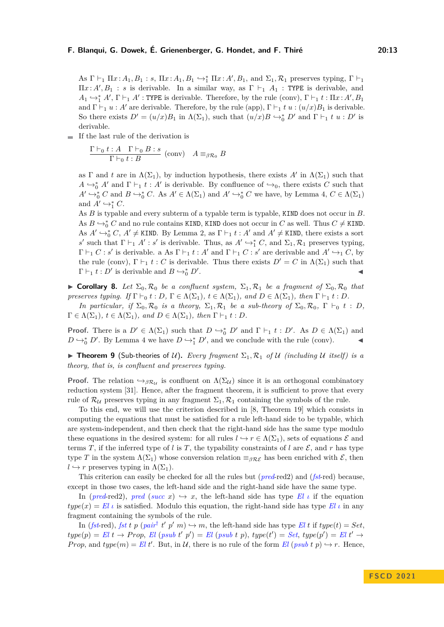As  $\Gamma \vdash_1 \Pi x : A_1, B_1 : s, \Pi x : A_1, B_1 \hookrightarrow_1^* \Pi x : A', B_1$ , and  $\Sigma_1, \mathcal{R}_1$  preserves typing,  $\Gamma \vdash_1$  $\Pi x : A', B_1 : s$  is derivable. In a similar way, as  $\Gamma \vdash_1 A_1 :$  TYPE is derivable, and  $A_1 \hookrightarrow_1^* A'$ ,  $\Gamma \vdash_1 A'$ : TYPE is derivable. Therefore, by the rule (conv),  $\Gamma \vdash_1 t : \Pi x : A', B_1$ and  $\Gamma \vdash_1 u : A'$  are derivable. Therefore, by the rule (app),  $\Gamma \vdash_1 t u : (u/x)B_1$  is derivable. So there exists  $D' = (u/x)B_1$  in  $\Lambda(\Sigma_1)$ , such that  $(u/x)B \hookrightarrow_0^* D'$  and  $\Gamma \vdash_1 t u : D'$  is derivable.

If the last rule of the derivation is

$$
\frac{\Gamma \vdash_0 t : A \quad \Gamma \vdash_0 B : s}{\Gamma \vdash_0 t : B} \text{ (conv)} \quad A \equiv_{\beta \mathcal{R}_0} B
$$

as  $\Gamma$  and *t* are in  $\Lambda(\Sigma_1)$ , by induction hypothesis, there exists  $A'$  in  $\Lambda(\Sigma_1)$  such that  $A \hookrightarrow_0^* A'$  and  $\Gamma \vdash_1 t : A'$  is derivable. By confluence of  $\hookrightarrow_0$ , there exists *C* such that  $A' \hookrightarrow_0^* C$  and  $B \hookrightarrow_0^* C$ . As  $A' \in \Lambda(\Sigma_1)$  and  $A' \hookrightarrow_0^* C$  we have, by Lemma 4,  $C \in \Lambda(\Sigma_1)$ and  $A' \hookrightarrow_{1}^{*} C$ .

As *B* is typable and every subterm of a typable term is typable, KIND does not occur in *B*. As  $B \hookrightarrow_0^* C$  and no rule contains KIND, KIND does not occur in  $C$  as well. Thus  $C \neq$  KIND. As  $A' \hookrightarrow_0^* C$ ,  $A' \neq$  KIND. By Lemma 2, as  $\Gamma \vdash_1 t : A'$  and  $A' \neq$  KIND, there exists a sort *s*<sup>*s*</sup> such that  $\Gamma \vdash_1 A' : s'$  is derivable. Thus, as  $A' \hookrightarrow_1^* C$ , and  $\Sigma_1, \mathcal{R}_1$  preserves typing,  $\Gamma \vdash_1 C : s'$  is derivable. a As  $\Gamma \vdash_1 t : A'$  and  $\Gamma \vdash_1 C : s'$  are derivable and  $A' \hookrightarrow_1 C$ , by the rule (conv),  $\Gamma \vdash_1 t : C$  is derivable. Thus there exists  $D' = C$  in  $\Lambda(\Sigma_1)$  such that  $\Gamma \vdash_1 t : D'$  is derivable and  $B \hookrightarrow_0^* D'$ . ◀

▶ **Corollary 8.** Let  $\Sigma_0$ ,  $\mathcal{R}_0$  be a confluent system,  $\Sigma_1$ ,  $\mathcal{R}_1$  be a fragment of  $\Sigma_0$ ,  $\mathcal{R}_0$  that *preserves typing. If*  $\Gamma \vdash_0 t : D$ ,  $\Gamma \in \Lambda(\Sigma_1)$ ,  $t \in \Lambda(\Sigma_1)$ , and  $D \in \Lambda(\Sigma_1)$ , then  $\Gamma \vdash_1 t : D$ .

*In particular, if*  $\Sigma_0$ ,  $\mathcal{R}_0$  *is a theory,*  $\Sigma_1$ ,  $\mathcal{R}_1$  *be a sub-theory of*  $\Sigma_0$ ,  $\mathcal{R}_0$ ,  $\Gamma \vdash_0 t : D$ ,  $\Gamma \in \Lambda(\Sigma_1)$ ,  $t \in \Lambda(\Sigma_1)$ , and  $D \in \Lambda(\Sigma_1)$ , then  $\Gamma \vdash_1 t : D$ .

**Proof.** There is a  $D' \in \Lambda(\Sigma_1)$  such that  $D \hookrightarrow_0^* D'$  and  $\Gamma \vdash_1 t : D'$ . As  $D \in \Lambda(\Sigma_1)$  and *D*  $\hookrightarrow_0^*$  *D'*. By Lemma 4 we have *D*  $\hookrightarrow_1^*$  *D'*, and we conclude with the rule (conv). ◄

**• Theorem 9** (Sub-theories of U). Every fragment  $\Sigma_1, \mathcal{R}_1$  of U (including U itself) is a *theory, that is, is confluent and preserves typing.*

**Proof.** The relation  $\rightarrow_{\beta} \mathcal{R}_{\mathcal{U}}$  is confluent on  $\Lambda(\Sigma_{\mathcal{U}})$  since it is an orthogonal combinatory reduction system [31]. Hence, after the fragment theorem, it is sufficient to prove that every rule of  $\mathcal{R}_U$  preserves typing in any fragment  $\Sigma_1, \mathcal{R}_1$  containing the symbols of the rule.

To this end, we will use the criterion described in [8, Theorem 19] which consists in computing the equations that must be satisfied for a rule left-hand side to be typable, which are system-independent, and then check that the right-hand side has the same type modulo these equations in the desired system: for all rules  $l \rightarrow r \in \Lambda(\Sigma_1)$ , sets of equations  $\mathcal E$  and terms *T*, if the inferred type of *l* is *T*, the typability constraints of *l* are  $\mathcal{E}$ , and *r* has type type *T* in the system  $\Lambda(\Sigma_1)$  whose conversion relation  $\equiv_{\beta \mathcal{RE}}$  has been enriched with  $\mathcal{E}$ , then  $l \hookrightarrow r$  preserves typing in  $\Lambda(\Sigma_1)$ .

This criterion can easily be checked for all the rules but (*pred*-red2) and (*fst*-red) because, except in those two cases, the left-hand side and the right-hand side have the same type.

In (*pred*-red2), *pred* (*succ*  $x$ )  $\hookrightarrow$   $x$ , the left-hand side has type El *ι* if the equation  $type(x) = El$  *ι* is satisfied. Modulo this equation, the right-hand side has type  $El$  *ι* in any fragment containing the symbols of the rule.

In (*fst*-red), *fst t p* (*pair*<sup>†</sup> *t' p' m*)  $\hookrightarrow$  *m*, the left-hand side has type *El t* if  $type(t) = Set$ ,  $type(p) = El t \rightarrow Prop, El (psub t' p') = El (psub t p), type(t') = Set, type(p') = El t' \rightarrow$ *Prop*, and  $type(m) = El t'$ . But, in U, there is no rule of the form *El* (*psub t p*)  $\rightarrow$  *r*. Hence,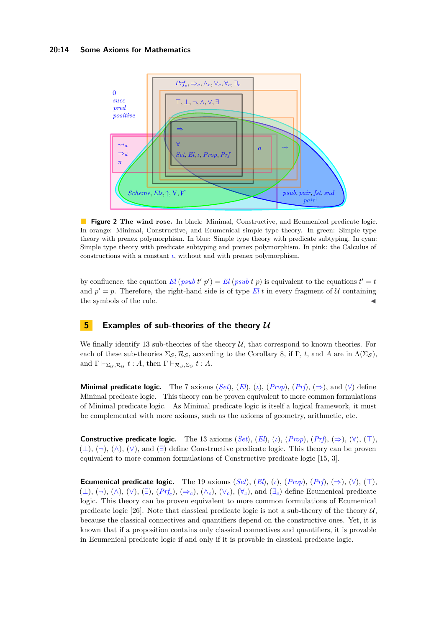#### **20:14 Some Axioms for Mathematics**



**Figure 2 The wind rose.** In black: Minimal, Constructive, and Ecumenical predicate logic. In orange: Minimal, Constructive, and Ecumenical simple type theory. In green: Simple type theory with prenex polymorphism. In blue: Simple type theory with predicate subtyping. In cyan: Simple type theory with predicate subtyping and prenex polymorphism. In pink: the Calculus of constructions with a constant  $\iota$ , without and with prenex polymorphism.

by confluence, the equation  $El (psub t' p') = El (psub t p)$  is equivalent to the equations  $t' = t$ and  $p' = p$ . Therefore, the right-hand side is of type El *t* in every fragment of U containing the symbols of the rule.

## **5 Examples of sub-theories of the theory U**

We finally identify 13 sub-theories of the theory  $U$ , that correspond to known theories. For each of these sub-theories  $\Sigma_{\mathcal{S}}, \mathcal{R}_{\mathcal{S}},$  according to the Corollary 8, if  $\Gamma$ , *t*, and *A* are in  $\Lambda(\Sigma_{\mathcal{S}})$ , and  $\Gamma \vdash_{\Sigma_{\mathcal{U}},\mathcal{R}_{\mathcal{U}}} t : A$ , then  $\Gamma \vdash_{\mathcal{R}_{\mathcal{S}},\Sigma_{\mathcal{S}}} t : A$ .

**Minimal predicate logic.** The 7 axioms (*Set*), (*El*), (*i*), (*Prop*), (*Prf*), ( $\Rightarrow$ ), and ( $\forall$ ) define Minimal predicate logic. This theory can be proven equivalent to more common formulations of Minimal predicate logic. As Minimal predicate logic is itself a logical framework, it must be complemented with more axioms, such as the axioms of geometry, arithmetic, etc.

**Constructive predicate logic.** The 13 axioms  $(Set)$ ,  $(El)$ ,  $(\iota)$ ,  $(Prop)$ ,  $(Prf)$ ,  $(\Rightarrow)$ ,  $(\forall)$ ,  $(\top)$ ,  $(\perp), (\neg), (\wedge), (\vee),$  and  $(\exists)$  define Constructive predicate logic. This theory can be proven equivalent to more common formulations of Constructive predicate logic [15, 3].

**Ecumenical predicate logic.** The 19 axioms  $(Set)$ ,  $(El)$ ,  $(L)$ ,  $(Prop)$ ,  $(Prf)$ ,  $(\Rightarrow)$ ,  $(\forall)$ ,  $(\top)$ ,  $(\perp), (\neg), (\wedge), (\vee), (\exists), (Prf_c), (\Rightarrow_c), (\wedge_c), (\vee_c), \forall_c)$ , and  $(\exists_c)$  define Ecumenical predicate logic. This theory can be proven equivalent to more common formulations of Ecumenical predicate logic [26]. Note that classical predicate logic is not a sub-theory of the theory  $\mathcal{U}$ , because the classical connectives and quantifiers depend on the constructive ones. Yet, it is known that if a proposition contains only classical connectives and quantifiers, it is provable in Ecumenical predicate logic if and only if it is provable in classical predicate logic.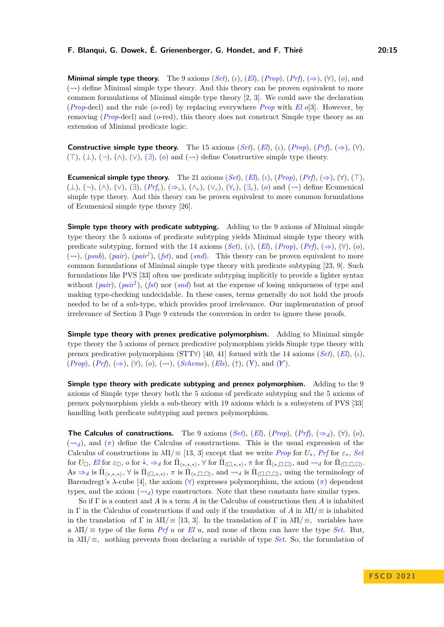**Minimal simple type theory.** The 9 axioms  $(Set)$ ,  $(\iota)$ ,  $(El)$ ,  $(Prop)$ ,  $(Prf)$ ,  $(\Rightarrow)$ ,  $(\forall)$ ,  $(o)$ , and  $(\leadsto)$  define Minimal simple type theory. And this theory can be proven equivalent to more common formulations of Minimal simple type theory [2, 3]. We could save the declaration (*Prop*-decl) and the rule (*o*-red) by replacing everywhere *Prop* with *El o*[3]. However, by removing (*Prop*-decl) and (*o*-red), this theory does not construct Simple type theory as an extension of Minimal predicate logic.

**Constructive simple type theory.** The 15 axioms  $(Set)$ ,  $(El)$ ,  $(L)$ ,  $(Prop)$ ,  $(Prf)$ ,  $(\Rightarrow)$ ,  $(\forall)$ ,  $(T), (\perp), (\neg), (\wedge), (\vee), (\exists), (\circ)$  and  $(\leadsto)$  define Constructive simple type theory.

**Ecumenical simple type theory.** The 21 axioms  $(Set)$ ,  $(El)$ ,  $(l)$ ,  $(Prop)$ ,  $(Prf)$ ,  $(\Rightarrow)$ ,  $(\forall)$ ,  $(\top)$ , (⊥), (¬), (∧), (∨), (∃), (*Prf<sup>c</sup>* ), (⇒*c*), (∧*c*), (∨*c*), (∀*c*), (∃*c*), (*o*) and (⇝) define Ecumenical simple type theory. And this theory can be proven equivalent to more common formulations of Ecumenical simple type theory [26].

**Simple type theory with predicate subtyping.** Adding to the 9 axioms of Minimal simple type theory the 5 axioms of predicate subtyping yields Minimal simple type theory with predicate subtyping, formed with the 14 axioms (*Set*),  $(\iota)$ ,  $(El)$ ,  $(Prop)$ ,  $(Prf)$ ,  $(\Rightarrow)$ ,  $(\forall)$ ,  $(o)$ ,  $(\leadsto)$ ,  $(psub)$ ,  $(pair)$ ,  $(pair^{\dagger})$ ,  $(fst)$ , and  $(snd)$ . This theory can be proven equivalent to more common formulations of Minimal simple type theory with predicate subtyping [23, 9]. Such formulations like PVS [33] often use predicate subtyping implicitly to provide a lighter syntax without (*pair*), (*pair*† ), (*fst*) nor (*snd*) but at the expense of losing uniqueness of type and making type-checking undecidable. In these cases, terms generally do not hold the proofs needed to be of a sub-type, which provides proof irrelevance. Our implementation of proof irrelevance of Section 3 Page 9 extends the conversion in order to ignore these proofs.

**Simple type theory with prenex predicative polymorphism.** Adding to Minimal simple type theory the 5 axioms of prenex predicative polymorphism yields Simple type theory with prenex predicative polymorphism (STT∀) [40, 41] formed with the 14 axioms (*Set*), (*El*), (*ι*),  $(Prop), (Prf), (\Rightarrow), (\forall), (o), (\leadsto), (Scheme), (Els), (\uparrow), (\forall), \text{and } (\forall).$ 

**Simple type theory with predicate subtyping and prenex polymorphism.** Adding to the 9 axioms of Simple type theory both the 5 axioms of predicate subtyping and the 5 axioms of prenex polymorphism yields a sub-theory with 19 axioms which is a subsystem of PVS [33] handling both predicate subtyping and prenex polymorphism.

**The Calculus of constructions.** The 9 axioms  $(Set)$ ,  $(El)$ ,  $(Prop)$ ,  $(Prf)$ ,  $(\Rightarrow_d)$ ,  $(\forall)$ ,  $(o)$ ,  $({\leadsto_d})$ , and  $({\pi})$  define the Calculus of constructions. This is the usual expression of the Calculus of constructions in  $\lambda \Pi / \equiv [13, 3]$  except that we write *Prop* for  $U_*$ , *Prf* for  $\varepsilon_*, S$ *et*  $\text{for } U_{\Box}, El \text{ for } \varepsilon_{\Box}, o \text{ for } \dot{x}, \Rightarrow_d \text{ for } \dot{\Pi}_{\langle\ast,\ast,\ast\rangle}, \forall \text{ for } \dot{\Pi}_{\langle\Box,\ast,\ast\rangle}, \pi \text{ for } \dot{\Pi}_{\langle\ast,\Box,\Box\rangle}, \text{ and } \leadsto_d \text{ for } \dot{\Pi}_{\langle\Box,\Box,\Box\rangle}.$  $\overline{A}$ s  $\Rightarrow_d$  is  $\Pi_{(*,*,*)}$ ,  $\forall$  is  $\Pi_{(\square,*,*)}$ ,  $\pi$  is  $\Pi_{(*,\square,\square)}$ , and  $\rightsquigarrow_d$  is  $\Pi_{(\square,\square,\square)}$ , using the terminology of Barendregt's  $\lambda$ -cube [4], the axiom ( $\forall$ ) expresses polymorphism, the axiom ( $\pi$ ) dependent types, and the axiom  $(\leadsto_d)$  type constructors. Note that these constants have similar types.

So if Γ is a context and *A* is a term *A* in the Calculus of constructions then *A* is inhabited in Γ in the Calculus of constructions if and only if the translation of *A* in  $\lambda \Pi / \equiv$  is inhabited in the translation of Γ in  $\lambda\Pi/ \equiv [13, 3]$ . In the translation of Γ in  $\lambda\Pi/ \equiv$ , variables have  $a \lambda \Pi / \equiv$  type of the form *Prf u* or *El u*, and none of them can have the type *Set*. But, in  $\lambda \Pi / \equiv$ , nothing prevents from declaring a variable of type *Set*. So, the formulation of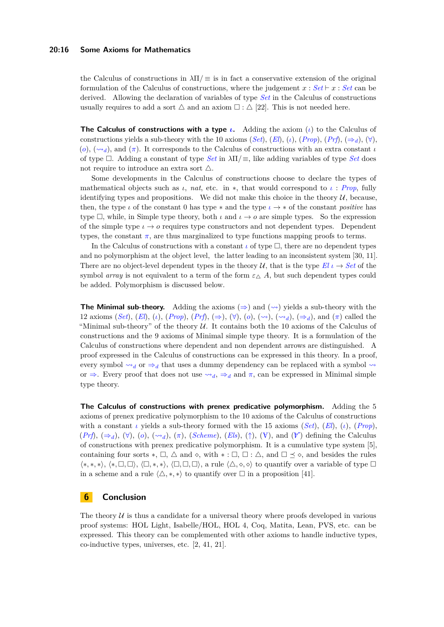#### **20:16 Some Axioms for Mathematics**

the Calculus of constructions in  $\lambda \Pi/\equiv$  is in fact a conservative extension of the original formulation of the Calculus of constructions, where the judgement  $x : Set \vdash x : Set$  can be derived. Allowing the declaration of variables of type *Set* in the Calculus of constructions usually requires to add a sort  $\triangle$  and an axiom  $\square$ :  $\triangle$  [22]. This is not needed here.

**The Calculus of constructions with a type** *ι***.** Adding the axiom (*ι*) to the Calculus of constructions yields a sub-theory with the 10 axioms (*Set*),  $(El)$ ,  $(i)$ ,  $(Prop)$ ,  $(Prf)$ ,  $(\Rightarrow_d)$ ,  $(\forall)$ ,  $(o), (\sim_d)$ , and  $(\pi)$ . It corresponds to the Calculus of constructions with an extra constant *ι* of type □. Adding a constant of type *Set* in *λ*Π*/*≡, like adding variables of type *Set* does not require to introduce an extra sort  $\triangle$ .

Some developments in the Calculus of constructions choose to declare the types of mathematical objects such as  $\iota$ , *nat*, etc. in \*, that would correspond to  $\iota$  : *Prop*, fully identifying types and propositions. We did not make this choice in the theory  $\mathcal{U}$ , because, then, the type  $\iota$  of the constant 0 has type  $*$  and the type  $\iota \to *$  of the constant *positive* has type  $\Box$ , while, in Simple type theory, both *ι* and  $\iota \to o$  are simple types. So the expression of the simple type  $\iota \to o$  requires type constructors and not dependent types. Dependent types, the constant  $\pi$ , are thus marginalized to type functions mapping proofs to terms.

In the Calculus of constructions with a constant  $\iota$  of type  $\square$ , there are no dependent types and no polymorphism at the object level, the latter leading to an inconsistent system [30, 11]. There are no object-level dependent types in the theory U, that is the type  $El \iota \rightarrow Set$  of the symbol *array* is not equivalent to a term of the form  $\varepsilon_{\Lambda}$  *A*, but such dependent types could be added. Polymorphism is discussed below.

**The Minimal sub-theory.** Adding the axioms  $(\Rightarrow)$  and  $(\sim)$  yields a sub-theory with the 12 axioms (*Set*), (*El*), (*i*), (*Prop*), (*Prf*), ( $\Rightarrow$ ), ( $\forall$ ), ( $o$ ), ( $\leadsto$ ), ( $\leadsto$ *d*), ( $\Rightarrow$ *d*), and ( $\pi$ ) called the "Minimal sub-theory" of the theory  $U$ . It contains both the 10 axioms of the Calculus of constructions and the 9 axioms of Minimal simple type theory. It is a formulation of the Calculus of constructions where dependent and non dependent arrows are distinguished. A proof expressed in the Calculus of constructions can be expressed in this theory. In a proof, every symbol  $\rightsquigarrow_d$  or  $\Rightarrow_d$  that uses a dummy dependency can be replaced with a symbol  $\rightsquigarrow_d$ or  $\Rightarrow$ . Every proof that does not use  $\rightsquigarrow_d$ ,  $\Rightarrow_d$  and  $\pi$ , can be expressed in Minimal simple type theory.

**The Calculus of constructions with prenex predicative polymorphism.** Adding the 5 axioms of prenex predicative polymorphism to the 10 axioms of the Calculus of constructions with a constant  $\iota$  yields a sub-theory formed with the 15 axioms (*Set*), (*El*), ( $\iota$ ), (*Prop*),  $(Prf), (\Rightarrow_d), (\forall), (o), (\leadsto_d), (\pi), (Scheme), (Els), (\uparrow), (\forall),$  and  $(\forall)$  defining the Calculus of constructions with prenex predicative polymorphism. It is a cumulative type system [5], containing four sorts  $*, \Box, \triangle$  and  $\diamond, \text{ with } * : \Box, \Box : \triangle, \text{ and } \Box \preceq \diamond, \text{ and besides the rules}$ ⟨∗*,* ∗*,* ∗⟩, ⟨∗*,* □*,* □⟩, ⟨□*,* ∗*,* ∗⟩, ⟨□*,* □*,* □⟩, a rule ⟨△*,* ⋄*,* ⋄⟩ to quantify over a variable of type □ in a scheme and a rule  $\langle \triangle, *, * \rangle$  to quantify over  $\square$  in a proposition [41].

## **6 Conclusion**

The theory  $U$  is thus a candidate for a universal theory where proofs developed in various proof systems: HOL Light, Isabelle/HOL, HOL 4, Coq, Matita, Lean, PVS, etc. can be expressed. This theory can be complemented with other axioms to handle inductive types, co-inductive types, universes, etc. [2, 41, 21].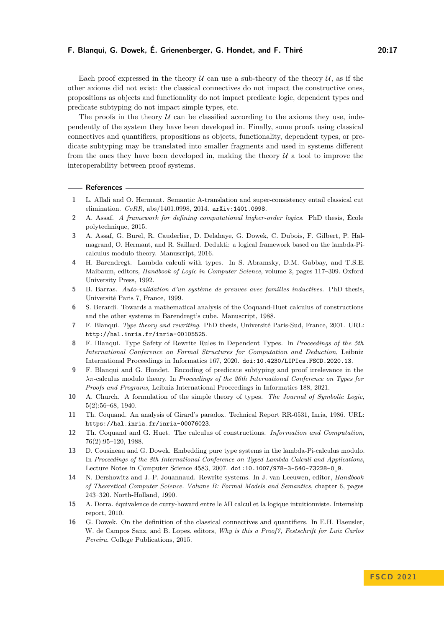Each proof expressed in the theory  $U$  can use a sub-theory of the theory  $U$ , as if the other axioms did not exist: the classical connectives do not impact the constructive ones, propositions as objects and functionality do not impact predicate logic, dependent types and predicate subtyping do not impact simple types, etc.

The proofs in the theory  $U$  can be classified according to the axioms they use, independently of the system they have been developed in. Finally, some proofs using classical connectives and quantifiers, propositions as objects, functionality, dependent types, or predicate subtyping may be translated into smaller fragments and used in systems different from the ones they have been developed in, making the theory  $U$  a tool to improve the interoperability between proof systems.

#### **References**

- **1** L. Allali and O. Hermant. Semantic A-translation and super-consistency entail classical cut elimination. *CoRR*, abs/1401.0998, 2014. [arXiv:1401.0998](http://arxiv.org/abs/1401.0998).
- **2** A. Assaf. *A framework for defining computational higher-order logics*. PhD thesis, École polytechnique, 2015.
- **3** A. Assaf, G. Burel, R. Cauderlier, D. Delahaye, G. Dowek, C. Dubois, F. Gilbert, P. Halmagrand, O. Hermant, and R. Saillard. Dedukti: a logical framework based on the lambda-Picalculus modulo theory. Manuscript, 2016.
- **4** H. Barendregt. Lambda calculi with types. In S. Abramsky, D.M. Gabbay, and T.S.E. Maibaum, editors, *Handbook of Logic in Computer Science*, volume 2, pages 117–309. Oxford University Press, 1992.
- **5** B. Barras. *Auto-validation d'un système de preuves avec familles inductives*. PhD thesis, Université Paris 7, France, 1999.
- **6** S. Berardi. Towards a mathematical analysis of the Coquand-Huet calculus of constructions and the other systems in Barendregt's cube. Manuscript, 1988.
- **7** F. Blanqui. *Type theory and rewriting*. PhD thesis, Université Paris-Sud, France, 2001. URL: <http://hal.inria.fr/inria-00105525>.
- **8** F. Blanqui. Type Safety of Rewrite Rules in Dependent Types. In *Proceedings of the 5th International Conference on Formal Structures for Computation and Deduction*, Leibniz International Proceedings in Informatics 167, 2020. [doi:10.4230/LIPIcs.FSCD.2020.13](https://doi.org/10.4230/LIPIcs.FSCD.2020.13).
- **9** F. Blanqui and G. Hondet. Encoding of predicate subtyping and proof irrelevance in the *λπ*-calculus modulo theory. In *Proceedings of the 26th International Conference on Types for Proofs and Programs*, Leibniz International Proceedings in Informatics 188, 2021.
- **10** A. Church. A formulation of the simple theory of types. *The Journal of Symbolic Logic*, 5(2):56–68, 1940.
- **11** Th. Coquand. An analysis of Girard's paradox. Technical Report RR-0531, Inria, 1986. URL: <https://hal.inria.fr/inria-00076023>.
- **12** Th. Coquand and G. Huet. The calculus of constructions. *Information and Computation*, 76(2):95–120, 1988.
- **13** D. Cousineau and G. Dowek. Embedding pure type systems in the lambda-Pi-calculus modulo. In *Proceedings of the 8th International Conference on Typed Lambda Calculi and Applications*, Lecture Notes in Computer Science 4583, 2007. [doi:10.1007/978-3-540-73228-0\\_9](https://doi.org/10.1007/978-3-540-73228-0_9).
- **14** N. Dershowitz and J.-P. Jouannaud. Rewrite systems. In J. van Leeuwen, editor, *Handbook of Theoretical Computer Science. Volume B: Formal Models and Semantics*, chapter 6, pages 243–320. North-Holland, 1990.
- **15** A. Dorra. équivalence de curry-howard entre le *λ*Π calcul et la logique intuitionniste. Internship report, 2010.
- **16** G. Dowek. On the definition of the classical connectives and quantifiers. In E.H. Haeusler, W. de Campos Sanz, and B. Lopes, editors, *Why is this a Proof?, Festschrift for Luiz Carlos Pereira*. College Publications, 2015.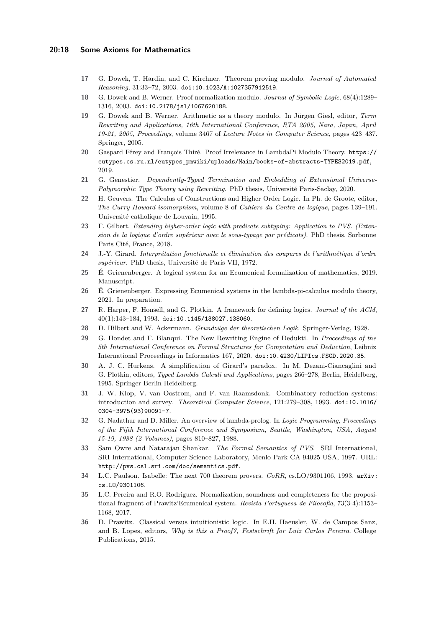#### **20:18 Some Axioms for Mathematics**

- **17** G. Dowek, T. Hardin, and C. Kirchner. Theorem proving modulo. *Journal of Automated Reasoning*, 31:33–72, 2003. [doi:10.1023/A:1027357912519](https://doi.org/10.1023/A:1027357912519).
- **18** G. Dowek and B. Werner. Proof normalization modulo. *Journal of Symbolic Logic*, 68(4):1289– 1316, 2003. [doi:10.2178/jsl/1067620188](https://doi.org/10.2178/jsl/1067620188).
- **19** G. Dowek and B. Werner. Arithmetic as a theory modulo. In Jürgen Giesl, editor, *Term Rewriting and Applications, 16th International Conference, RTA 2005, Nara, Japan, April 19-21, 2005, Proceedings*, volume 3467 of *Lecture Notes in Computer Science*, pages 423–437. Springer, 2005.
- **20** Gaspard Férey and François Thiré. Proof Irrelevance in LambdaPi Modulo Theory. [https://](https://eutypes.cs.ru.nl/eutypes_pmwiki/uploads/Main/books-of-abstracts-TYPES2019.pdf) [eutypes.cs.ru.nl/eutypes\\_pmwiki/uploads/Main/books-of-abstracts-TYPES2019.pdf](https://eutypes.cs.ru.nl/eutypes_pmwiki/uploads/Main/books-of-abstracts-TYPES2019.pdf), 2019.
- **21** G. Genestier. *Dependently-Typed Termination and Embedding of Extensional Universe-Polymorphic Type Theory using Rewriting*. PhD thesis, Université Paris-Saclay, 2020.
- **22** H. Geuvers. The Calculus of Constructions and Higher Order Logic. In Ph. de Groote, editor, *The Curry-Howard isomorphism*, volume 8 of *Cahiers du Centre de logique*, pages 139–191. Université catholique de Louvain, 1995.
- **23** F. Gilbert. *Extending higher-order logic with predicate subtyping: Application to PVS. (Extension de la logique d'ordre supérieur avec le sous-typage par prédicats)*. PhD thesis, Sorbonne Paris Cité, France, 2018.
- **24** J.-Y. Girard. *Interprétation fonctionelle et élimination des coupures de l'arithmétique d'ordre supérieur*. PhD thesis, Université de Paris VII, 1972.
- **25** É. Grienenberger. A logical system for an Ecumenical formalization of mathematics, 2019. Manuscript.
- **26** É. Grienenberger. Expressing Ecumenical systems in the lambda-pi-calculus modulo theory, 2021. In preparation.
- **27** R. Harper, F. Honsell, and G. Plotkin. A framework for defining logics. *Journal of the ACM*,  $40(1):143-184, 1993.$  [doi:10.1145/138027.138060](https://doi.org/10.1145/138027.138060).
- **28** D. Hilbert and W. Ackermann. *Grundzüge der theoretischen Logik*. Springer-Verlag, 1928.
- **29** G. Hondet and F. Blanqui. The New Rewriting Engine of Dedukti. In *Proceedings of the 5th International Conference on Formal Structures for Computation and Deduction*, Leibniz International Proceedings in Informatics 167, 2020. [doi:10.4230/LIPIcs.FSCD.2020.35](https://doi.org/10.4230/LIPIcs.FSCD.2020.35).
- **30** A. J. C. Hurkens. A simplification of Girard's paradox. In M. Dezani-Ciancaglini and G. Plotkin, editors, *Typed Lambda Calculi and Applications*, pages 266–278, Berlin, Heidelberg, 1995. Springer Berlin Heidelberg.
- **31** J. W. Klop, V. van Oostrom, and F. van Raamsdonk. Combinatory reduction systems: introduction and survey. *Theoretical Computer Science*, 121:279–308, 1993. [doi:10.1016/](https://doi.org/10.1016/0304-3975(93)90091-7) [0304-3975\(93\)90091-7](https://doi.org/10.1016/0304-3975(93)90091-7).
- **32** G. Nadathur and D. Miller. An overview of lambda-prolog. In *Logic Programming, Proceedings of the Fifth International Conference and Symposium, Seattle, Washington, USA, August 15-19, 1988 (2 Volumes)*, pages 810–827, 1988.
- **33** Sam Owre and Natarajan Shankar. *The Formal Semantics of PVS*. SRI International, SRI International, Computer Science Laboratory, Menlo Park CA 94025 USA, 1997. URL: <http://pvs.csl.sri.com/doc/semantics.pdf>.
- **34** L.C. Paulson. Isabelle: The next 700 theorem provers. *CoRR*, cs.LO/9301106, 1993. [arXiv:](http://arxiv.org/abs/cs.LO/9301106) [cs.LO/9301106](http://arxiv.org/abs/cs.LO/9301106).
- **35** L.C. Pereira and R.O. Rodriguez. Normalization, soundness and completeness for the propositional fragment of Prawitz'Ecumenical system. *Revista Portuguesa de Filosofia*, 73(3-4):1153– 1168, 2017.
- **36** D. Prawitz. Classical versus intuitionistic logic. In E.H. Haeusler, W. de Campos Sanz, and B. Lopes, editors, *Why is this a Proof?, Festschrift for Luiz Carlos Pereira*. College Publications, 2015.